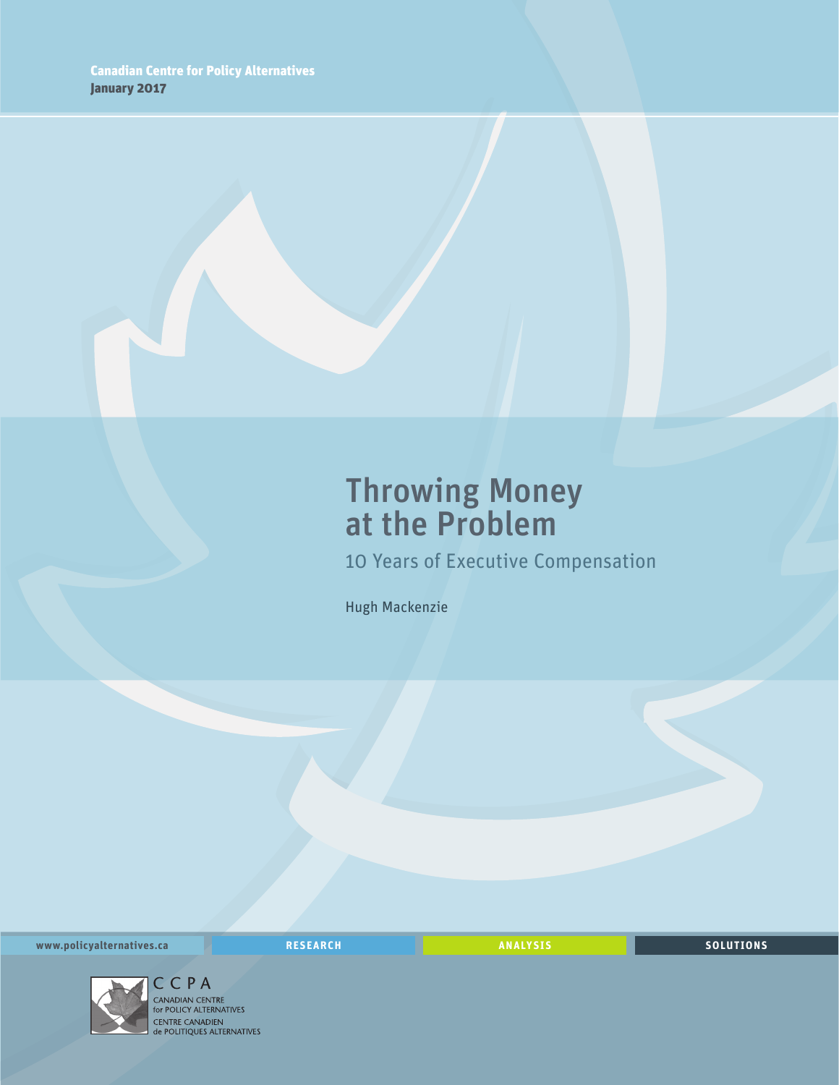# Throwing Money at the Problem

10 Years of Executive Compensation

Hugh Mackenzie

**www.policyalternatives.ca** <mark>RESEARCH</mark> ANALYSIS SOLUTIONS



CENTRE CANADIEN<br>
de POLITIQUES ALTERNATIVES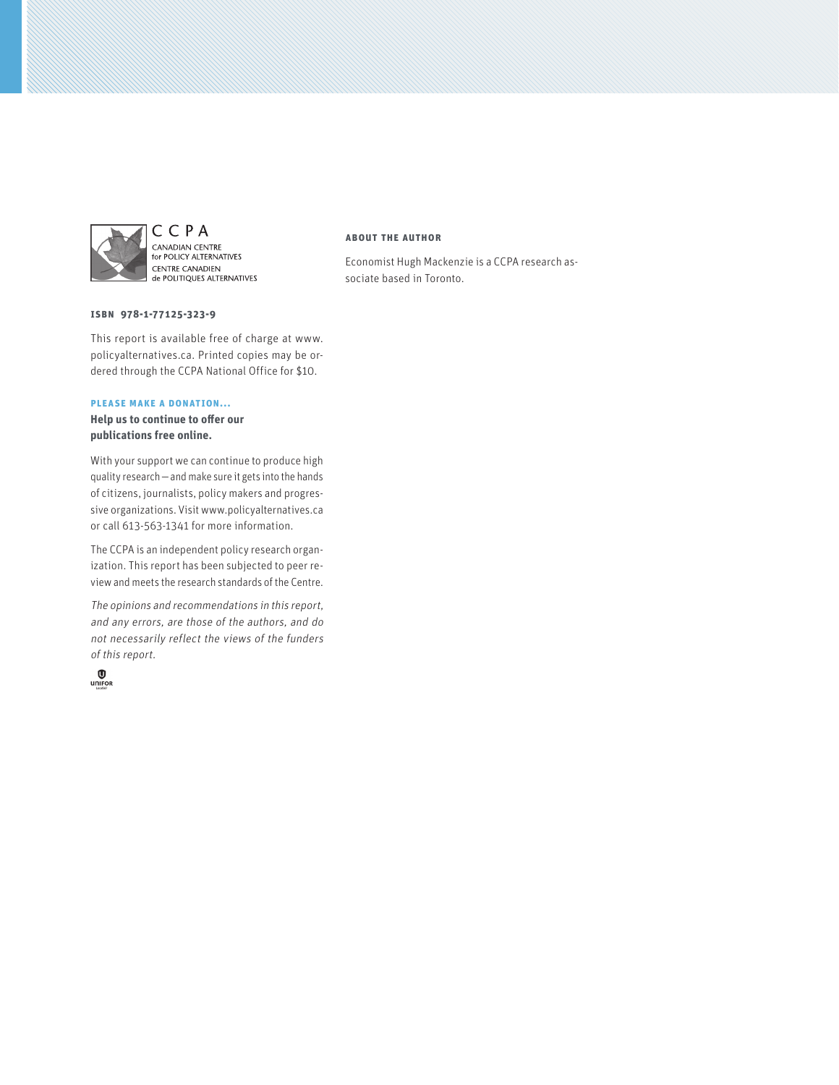

CCPA CANADIAN CENTRE<br>for POLICY ALTERNATIVES CENTRE CANADIEN de POLITIQUES ALTERNATIVES

#### **ISBN 978-1-77125-323-9**

This report is available free of charge at www. policyalternatives.ca. Printed copies may be ordered through the CCPA National Office for \$10.

#### **Please make a donation...**

**Help us to continue to offer our publications free online.**

With your support we can continue to produce high quality research—and make sure it gets into the hands of citizens, journalists, policy makers and progressive organizations. Visit www.policyalternatives.ca or call 613-563-1341 for more information.

The CCPA is an independent policy research organization. This report has been subjected to peer review and meets the research standards of the Centre.

The opinions and recommendations in this report, and any errors, are those of the authors, and do not necessarily reflect the views of the funders of this report.



#### **About the author**

Economist Hugh Mackenzie is a CCPA research associate based in Toronto.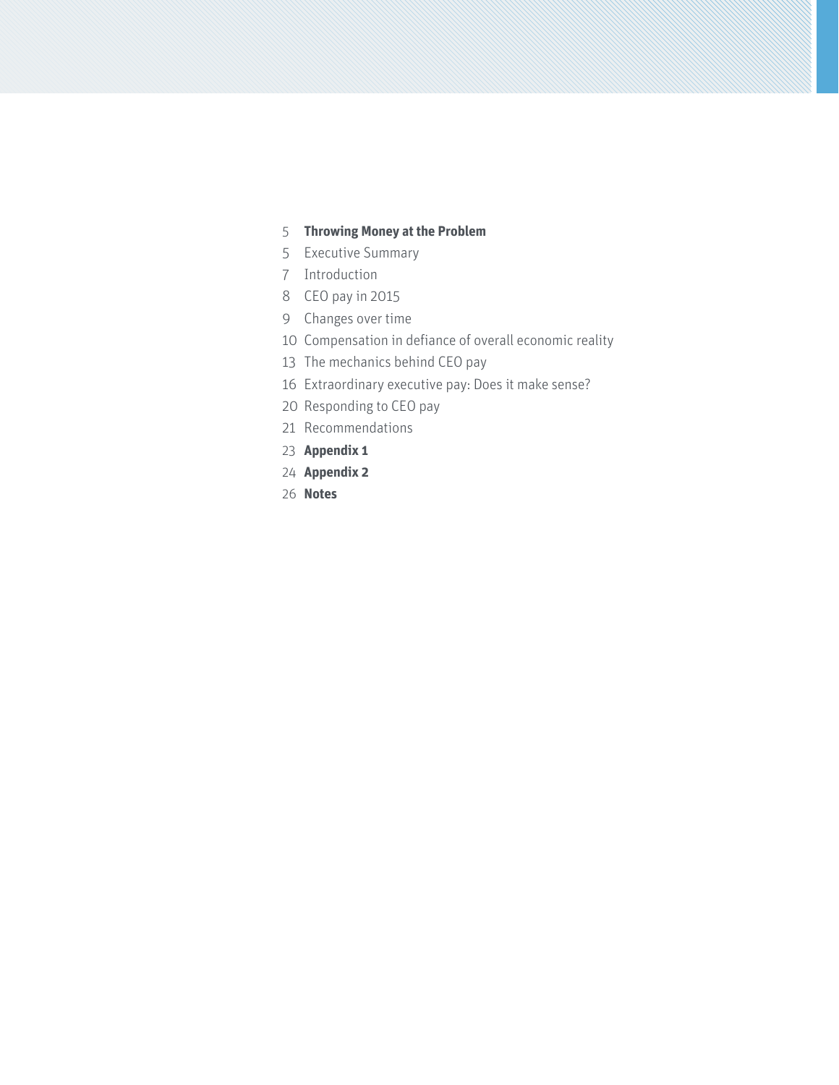## **Throwing Money at the Problem**

- [Executive Summary](#page-4-0)
- [Introduction](#page-6-0)
- [CEO pay in 2015](#page-7-0)
- [Changes over time](#page-8-0)
- [Compensation in defiance of overall economic reality](#page-9-0)
- [The mechanics behind CEO pay](#page-12-0)
- [Extraordinary executive pay: Does it make sense?](#page-15-0)
- [Responding to CEO pay](#page-19-0)
- [Recommendations](#page-20-0)
- **[Appendix 1](#page-22-0)**
- **[Appendix 2](#page-23-0)**
- **[Notes](#page-25-0)**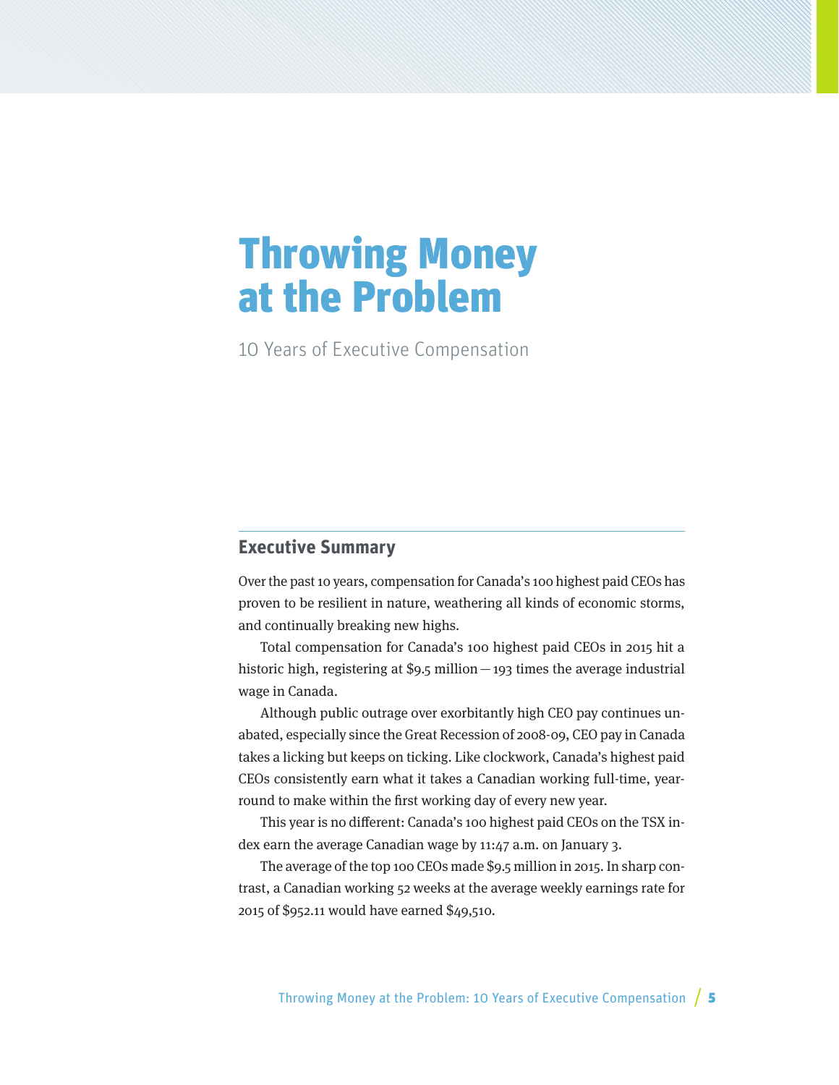# <span id="page-4-0"></span>Throwing Money at the Problem

10 Years of Executive Compensation

## **Executive Summary**

Over the past 10 years, compensation for Canada's 100 highest paid CEOs has proven to be resilient in nature, weathering all kinds of economic storms, and continually breaking new highs.

Total compensation for Canada's 100 highest paid CEOs in 2015 hit a historic high, registering at \$9.5 million—193 times the average industrial wage in Canada.

Although public outrage over exorbitantly high CEO pay continues unabated, especially since the Great Recession of 2008-09, CEO pay in Canada takes a licking but keeps on ticking. Like clockwork, Canada's highest paid CEOs consistently earn what it takes a Canadian working full-time, yearround to make within the first working day of every new year.

This year is no different: Canada's 100 highest paid CEOs on the TSX index earn the average Canadian wage by 11:47 a.m. on January 3.

The average of the top 100 CEOs made \$9.5 million in 2015. In sharp contrast, a Canadian working 52 weeks at the average weekly earnings rate for 2015 of \$952.11 would have earned \$49,510.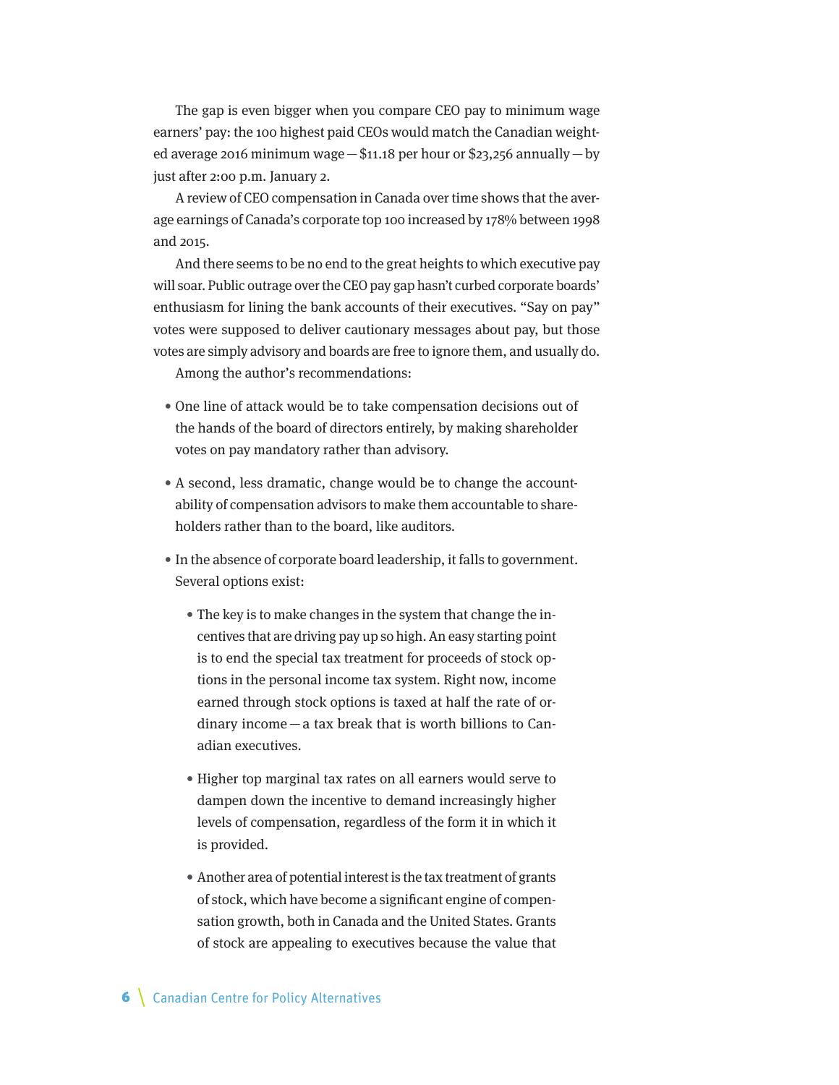The gap is even bigger when you compare CEO pay to minimum wage earners' pay: the 100 highest paid CEOs would match the Canadian weighted average 2016 minimum wage  $-\$$ 11.18 per hour or \$23,256 annually  $-$  by just after 2:00 p.m. January 2.

A review of CEO compensation in Canada over time shows that the average earnings of Canada's corporate top 100 increased by 178% between 1998 and 2015.

And there seems to be no end to the great heights to which executive pay will soar. Public outrage over the CEO pay gap hasn't curbed corporate boards' enthusiasm for lining the bank accounts of their executives. "Say on pay" votes were supposed to deliver cautionary messages about pay, but those votes are simply advisory and boards are free to ignore them, and usually do.

Among the author's recommendations:

- One line of attack would be to take compensation decisions out of the hands of the board of directors entirely, by making shareholder votes on pay mandatory rather than advisory.
- A second, less dramatic, change would be to change the accountability of compensation advisors to make them accountable to shareholders rather than to the board, like auditors.
- In the absence of corporate board leadership, it falls to government. Several options exist:
	- The key is to make changes in the system that change the incentives that are driving pay up so high. An easy starting point is to end the special tax treatment for proceeds of stock options in the personal income tax system. Right now, income earned through stock options is taxed at half the rate of ordinary income—a tax break that is worth billions to Canadian executives.
	- Higher top marginal tax rates on all earners would serve to dampen down the incentive to demand increasingly higher levels of compensation, regardless of the form it in which it is provided.
	- Another area of potential interest is the tax treatment of grants of stock, which have become a significant engine of compensation growth, both in Canada and the United States. Grants of stock are appealing to executives because the value that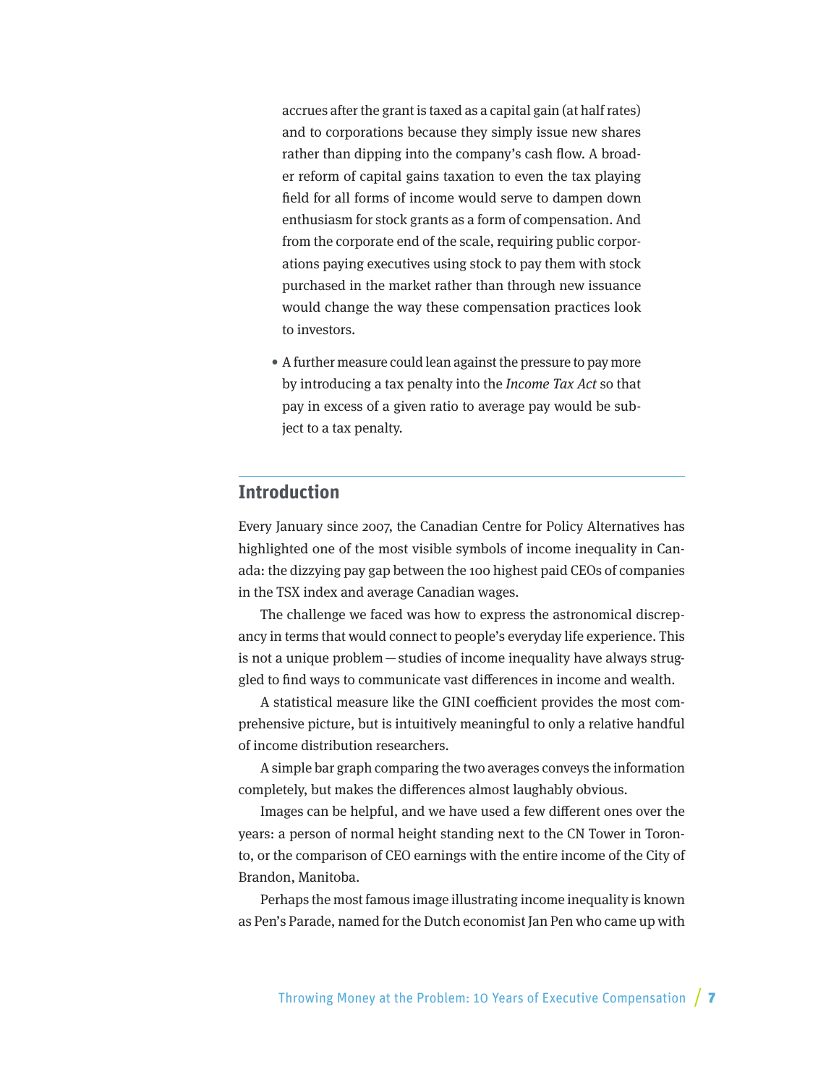<span id="page-6-0"></span>accrues after the grant is taxed as a capital gain (at half rates) and to corporations because they simply issue new shares rather than dipping into the company's cash flow. A broader reform of capital gains taxation to even the tax playing field for all forms of income would serve to dampen down enthusiasm for stock grants as a form of compensation. And from the corporate end of the scale, requiring public corporations paying executives using stock to pay them with stock purchased in the market rather than through new issuance would change the way these compensation practices look to investors.

• A further measure could lean against the pressure to pay more by introducing a tax penalty into the *Income Tax Act* so that pay in excess of a given ratio to average pay would be subject to a tax penalty.

## **Introduction**

Every January since 2007, the Canadian Centre for Policy Alternatives has highlighted one of the most visible symbols of income inequality in Canada: the dizzying pay gap between the 100 highest paid CEOs of companies in the TSX index and average Canadian wages.

The challenge we faced was how to express the astronomical discrepancy in terms that would connect to people's everyday life experience. This is not a unique problem—studies of income inequality have always struggled to find ways to communicate vast differences in income and wealth.

A statistical measure like the GINI coefficient provides the most comprehensive picture, but is intuitively meaningful to only a relative handful of income distribution researchers.

A simple bar graph comparing the two averages conveys the information completely, but makes the differences almost laughably obvious.

Images can be helpful, and we have used a few different ones over the years: a person of normal height standing next to the CN Tower in Toronto, or the comparison of CEO earnings with the entire income of the City of Brandon, Manitoba.

Perhaps the most famous image illustrating income inequality is known as Pen's Parade, named for the Dutch economist Jan Pen who came up with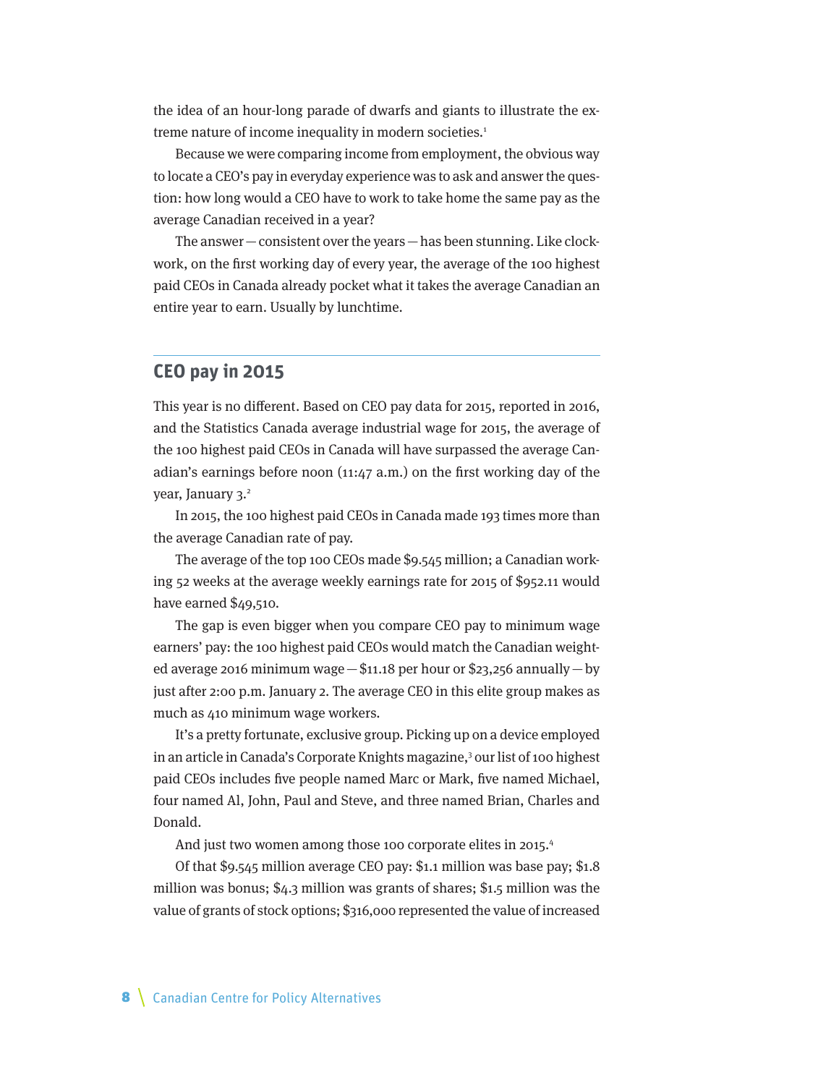<span id="page-7-0"></span>the idea of an hour-long parade of dwarfs and giants to illustrate the extreme nature of income inequality in modern societies.<sup>1</sup>

Because we were comparing income from employment, the obvious way to locate a CEO's pay in everyday experience was to ask and answer the question: how long would a CEO have to work to take home the same pay as the average Canadian received in a year?

The answer—consistent over the years—has been stunning. Like clockwork, on the first working day of every year, the average of the 100 highest paid CEOs in Canada already pocket what it takes the average Canadian an entire year to earn. Usually by lunchtime.

#### **CEO pay in 2015**

This year is no different. Based on CEO pay data for 2015, reported in 2016, and the Statistics Canada average industrial wage for 2015, the average of the 100 highest paid CEOs in Canada will have surpassed the average Canadian's earnings before noon (11:47 a.m.) on the first working day of the year, January 3.<sup>2</sup>

In 2015, the 100 highest paid CEOs in Canada made 193 times more than the average Canadian rate of pay.

The average of the top 100 CEOs made \$9.545 million; a Canadian working 52 weeks at the average weekly earnings rate for 2015 of \$952.11 would have earned \$49,510.

The gap is even bigger when you compare CEO pay to minimum wage earners' pay: the 100 highest paid CEOs would match the Canadian weighted average 2016 minimum wage—\$11.18 per hour or \$23,256 annually—by just after 2:00 p.m. January 2. The average CEO in this elite group makes as much as 410 minimum wage workers.

It's a pretty fortunate, exclusive group. Picking up on a device employed in an article in Canada's Corporate Knights magazine,<sup>3</sup> our list of 100 highest paid CEOs includes five people named Marc or Mark, five named Michael, four named Al, John, Paul and Steve, and three named Brian, Charles and Donald.

And just two women among those 100 corporate elites in 2015.<sup>4</sup>

Of that \$9.545 million average CEO pay: \$1.1 million was base pay; \$1.8 million was bonus; \$4.3 million was grants of shares; \$1.5 million was the value of grants of stock options; \$316,000 represented the value of increased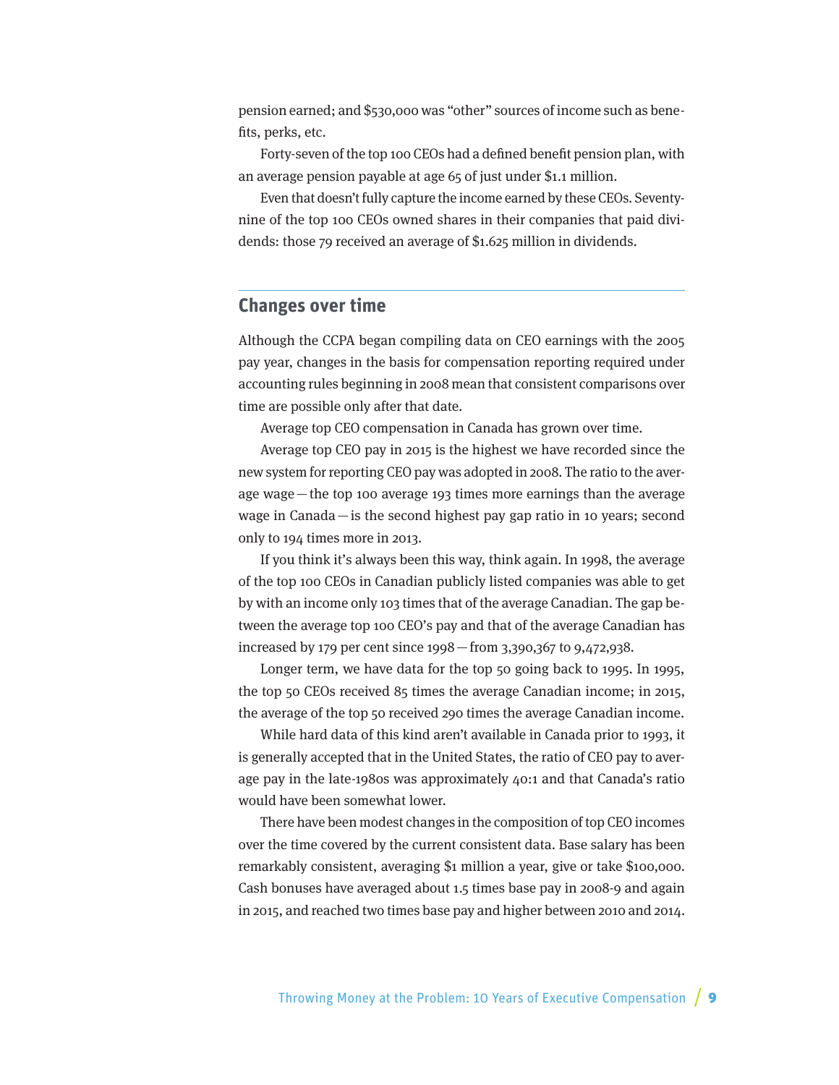<span id="page-8-0"></span>pension earned; and \$530,000 was "other" sources of income such as benefits, perks, etc.

Forty-seven of the top 100 CEOs had a defined benefit pension plan, with an average pension payable at age 65 of just under \$1.1 million.

Even that doesn't fully capture the income earned by these CEOs. Seventynine of the top 100 CEOs owned shares in their companies that paid dividends: those 79 received an average of \$1.625 million in dividends.

#### **Changes over time**

Although the CCPA began compiling data on CEO earnings with the 2005 pay year, changes in the basis for compensation reporting required under accounting rules beginning in 2008 mean that consistent comparisons over time are possible only after that date.

Average top CEO compensation in Canada has grown over time.

Average top CEO pay in 2015 is the highest we have recorded since the new system for reporting CEO pay was adopted in 2008. The ratio to the average wage—the top 100 average 193 times more earnings than the average wage in Canada—is the second highest pay gap ratio in 10 years; second only to 194 times more in 2013.

If you think it's always been this way, think again. In 1998, the average of the top 100 CEOs in Canadian publicly listed companies was able to get by with an income only 103 times that of the average Canadian. The gap between the average top 100 CEO's pay and that of the average Canadian has increased by 179 per cent since 1998—from 3,390,367 to 9,472,938.

Longer term, we have data for the top 50 going back to 1995. In 1995, the top 50 CEOs received 85 times the average Canadian income; in 2015, the average of the top 50 received 290 times the average Canadian income.

While hard data of this kind aren't available in Canada prior to 1993, it is generally accepted that in the United States, the ratio of CEO pay to average pay in the late-1980s was approximately 40:1 and that Canada's ratio would have been somewhat lower.

There have been modest changes in the composition of top CEO incomes over the time covered by the current consistent data. Base salary has been remarkably consistent, averaging \$1 million a year, give or take \$100,000. Cash bonuses have averaged about 1.5 times base pay in 2008-9 and again in 2015, and reached two times base pay and higher between 2010 and 2014.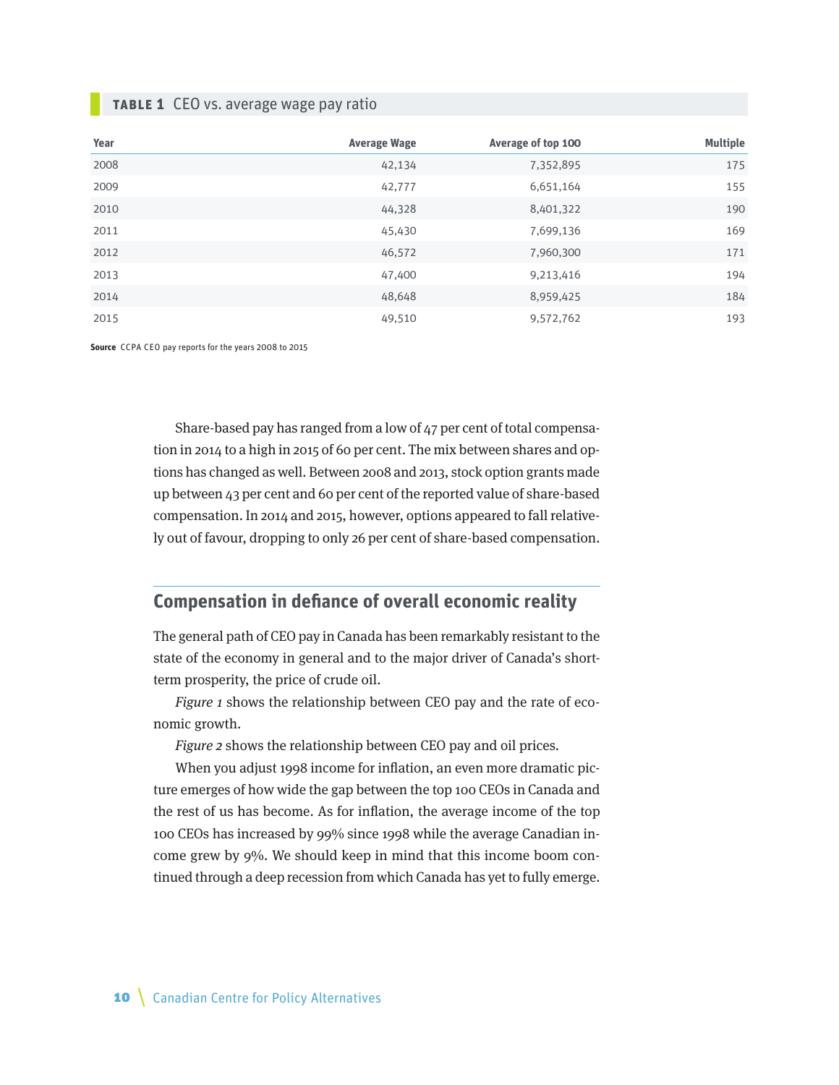#### <span id="page-9-0"></span>**Table 1** CEO vs. average wage pay ratio

| Year | <b>Average Wage</b> | Average of top 100 | <b>Multiple</b> |
|------|---------------------|--------------------|-----------------|
| 2008 | 42,134              | 7,352,895          | 175             |
| 2009 | 42,777              | 6,651,164          | 155             |
| 2010 | 44,328              | 8,401,322          | 190             |
| 2011 | 45,430              | 7,699,136          | 169             |
| 2012 | 46,572              | 7,960,300          | 171             |
| 2013 | 47,400              | 9,213,416          | 194             |
| 2014 | 48,648              | 8,959,425          | 184             |
| 2015 | 49,510              | 9,572,762          | 193             |

**Source** CCPA CEO pay reports for the years 2008 to 2015

Share-based pay has ranged from a low of 47 per cent of total compensation in 2014 to a high in 2015 of 60 per cent. The mix between shares and options has changed as well. Between 2008 and 2013, stock option grants made up between 43 per cent and 60 per cent of the reported value of share-based compensation. In 2014 and 2015, however, options appeared to fall relatively out of favour, dropping to only 26 per cent of share-based compensation.

# **Compensation in defiance of overall economic reality**

The general path of CEO pay in Canada has been remarkably resistant to the state of the economy in general and to the major driver of Canada's shortterm prosperity, the price of crude oil.

Figure 1 shows the relationship between CEO pay and the rate of economic growth.

Figure 2 shows the relationship between CEO pay and oil prices.

When you adjust 1998 income for inflation, an even more dramatic picture emerges of how wide the gap between the top 100 CEOs in Canada and the rest of us has become. As for inflation, the average income of the top 100 CEOs has increased by 99% since 1998 while the average Canadian income grew by 9%. We should keep in mind that this income boom continued through a deep recession from which Canada has yet to fully emerge.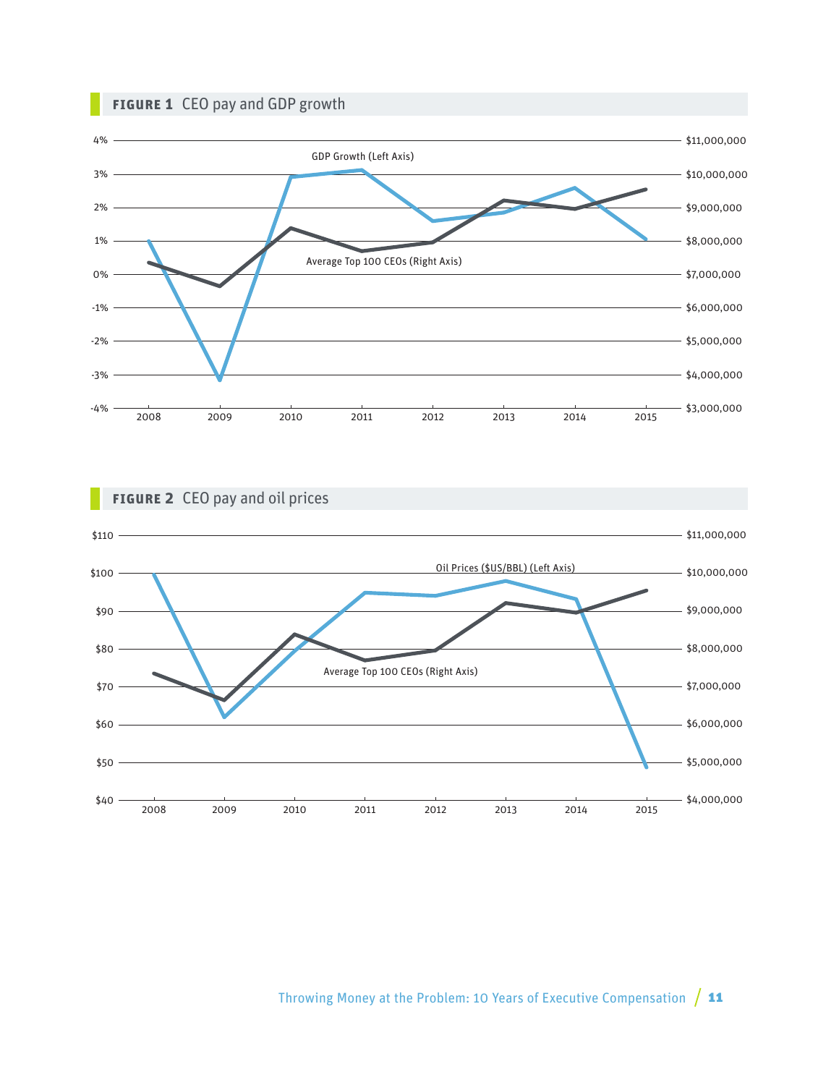## **Figure 1** CEO pay and GDP growth





## Throwing Money at the Problem: 10 Years of Executive Compensation  $/11$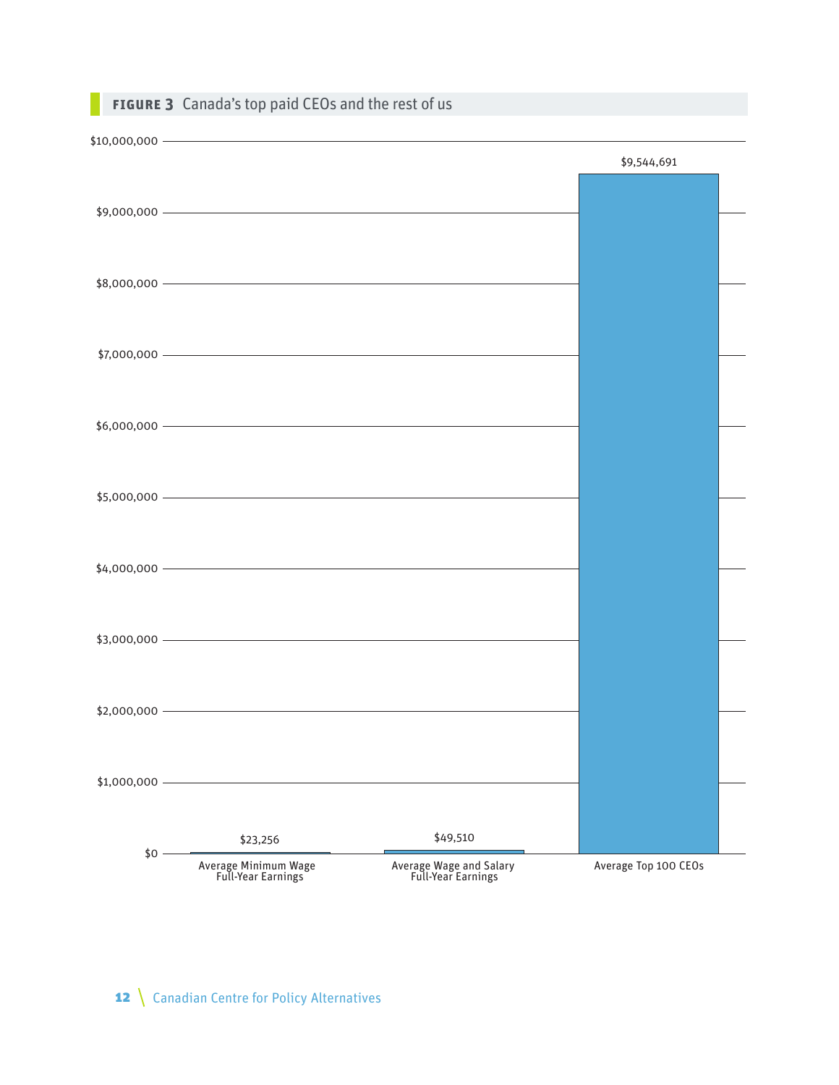|                | <b>FIGURE 3</b> Canada's top paid CEOs and the rest of us |                                               |                      |  |
|----------------|-----------------------------------------------------------|-----------------------------------------------|----------------------|--|
|                | $$10,000,000$ $\overline{\phantom{a}}$                    |                                               |                      |  |
|                | $$9,000,000$ $\longrightarrow$                            |                                               | \$9,544,691          |  |
|                |                                                           |                                               |                      |  |
|                | $$7,000,000$ $\qquad$                                     |                                               |                      |  |
|                |                                                           |                                               |                      |  |
|                | $$5,000,000$ $\overline{\phantom{a}}$                     |                                               |                      |  |
|                | $$4,000,000$ $\qquad$                                     |                                               |                      |  |
|                | $$3,000,000$ $\longrightarrow$                            |                                               |                      |  |
|                | $$2,000,000$ $\longrightarrow$                            |                                               |                      |  |
| $$1,000,000$ – |                                                           |                                               |                      |  |
| $$0 -$         | \$23,256                                                  | \$49,510                                      |                      |  |
|                | Average Minimum Wage<br>Full-Year Earnings                | Average Wage and Salary<br>Full-Year Earnings | Average Top 100 CEOs |  |

# 12 \ Canadian Centre for Policy Alternatives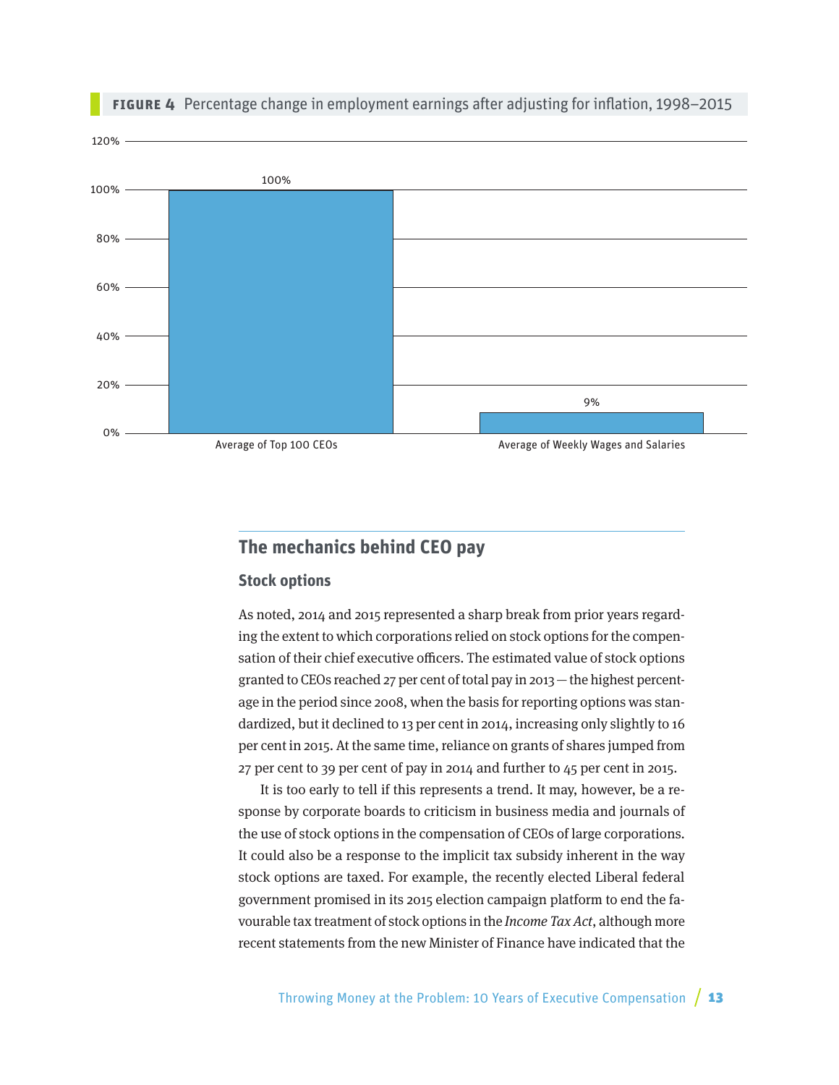<span id="page-12-0"></span>

#### **Figure 4** Percentage change in employment earnings after adjusting for inflation, 1998–2015

# **The mechanics behind CEO pay**

#### **Stock options**

As noted, 2014 and 2015 represented a sharp break from prior years regarding the extent to which corporations relied on stock options for the compensation of their chief executive officers. The estimated value of stock options granted to CEOs reached 27 per cent of total pay in 2013—the highest percentage in the period since 2008, when the basis for reporting options was standardized, but it declined to 13 per cent in 2014, increasing only slightly to 16 per cent in 2015. At the same time, reliance on grants of shares jumped from 27 per cent to 39 per cent of pay in 2014 and further to 45 per cent in 2015.

It is too early to tell if this represents a trend. It may, however, be a response by corporate boards to criticism in business media and journals of the use of stock options in the compensation of CEOs of large corporations. It could also be a response to the implicit tax subsidy inherent in the way stock options are taxed. For example, the recently elected Liberal federal government promised in its 2015 election campaign platform to end the favourable tax treatment of stock options in the Income Tax Act, although more recent statements from the new Minister of Finance have indicated that the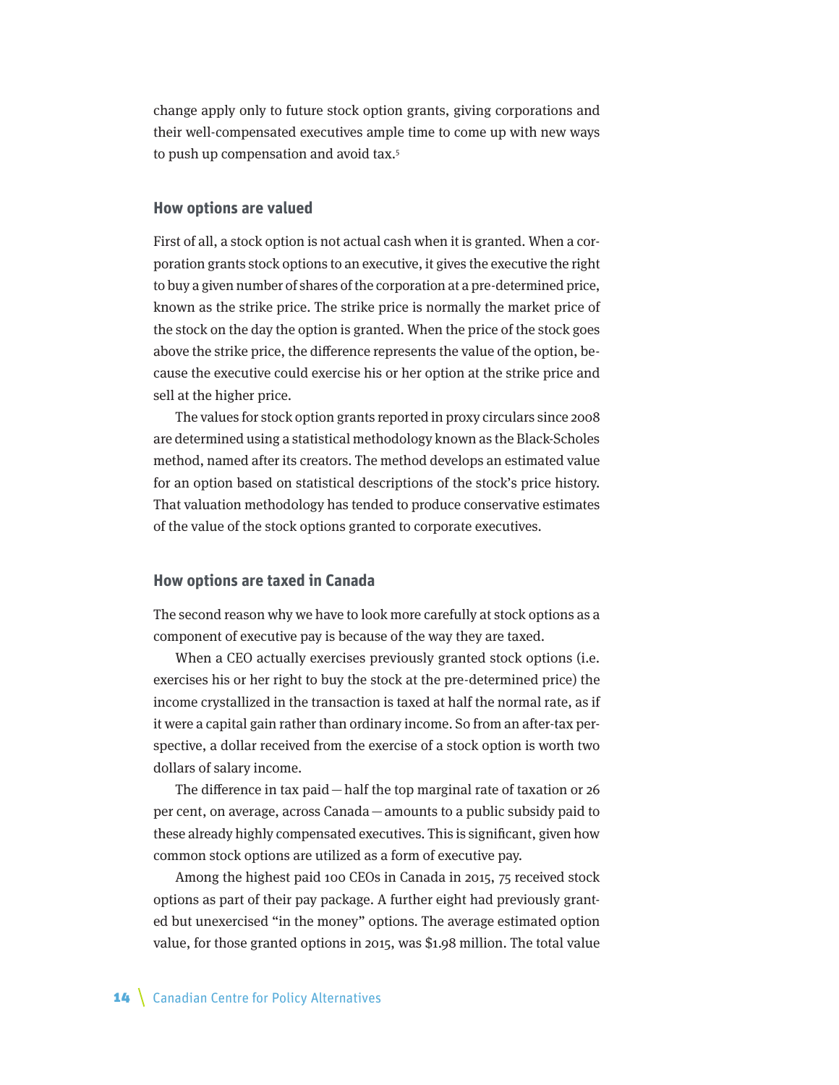change apply only to future stock option grants, giving corporations and their well-compensated executives ample time to come up with new ways to push up compensation and avoid tax.5

#### **How options are valued**

First of all, a stock option is not actual cash when it is granted. When a corporation grants stock options to an executive, it gives the executive the right to buy a given number of shares of the corporation at a pre-determined price, known as the strike price. The strike price is normally the market price of the stock on the day the option is granted. When the price of the stock goes above the strike price, the difference represents the value of the option, because the executive could exercise his or her option at the strike price and sell at the higher price.

The values for stock option grants reported in proxy circulars since 2008 are determined using a statistical methodology known as the Black-Scholes method, named after its creators. The method develops an estimated value for an option based on statistical descriptions of the stock's price history. That valuation methodology has tended to produce conservative estimates of the value of the stock options granted to corporate executives.

#### **How options are taxed in Canada**

The second reason why we have to look more carefully at stock options as a component of executive pay is because of the way they are taxed.

When a CEO actually exercises previously granted stock options (i.e. exercises his or her right to buy the stock at the pre-determined price) the income crystallized in the transaction is taxed at half the normal rate, as if it were a capital gain rather than ordinary income. So from an after-tax perspective, a dollar received from the exercise of a stock option is worth two dollars of salary income.

The difference in tax paid—half the top marginal rate of taxation or 26 per cent, on average, across Canada—amounts to a public subsidy paid to these already highly compensated executives. This is significant, given how common stock options are utilized as a form of executive pay.

Among the highest paid 100 CEOs in Canada in 2015, 75 received stock options as part of their pay package. A further eight had previously granted but unexercised "in the money" options. The average estimated option value, for those granted options in 2015, was \$1.98 million. The total value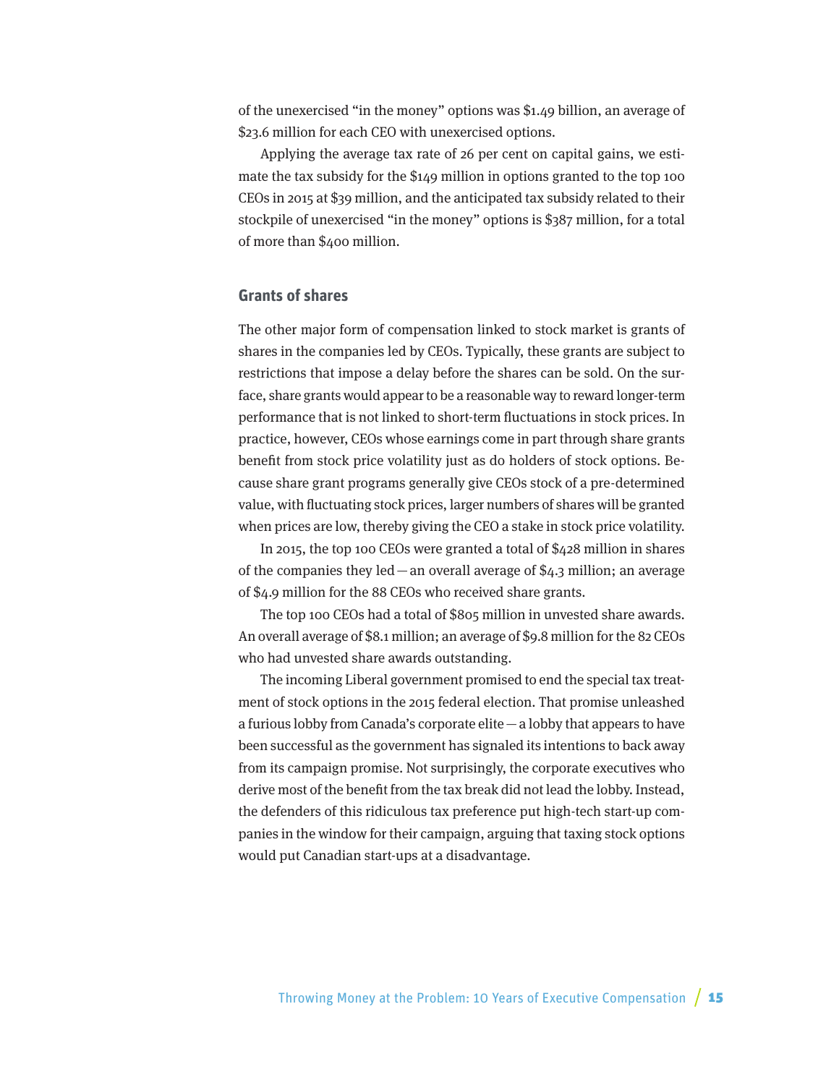of the unexercised "in the money" options was \$1.49 billion, an average of \$23.6 million for each CEO with unexercised options.

Applying the average tax rate of 26 per cent on capital gains, we estimate the tax subsidy for the \$149 million in options granted to the top 100 CEOs in 2015 at \$39 million, and the anticipated tax subsidy related to their stockpile of unexercised "in the money" options is \$387 million, for a total of more than \$400 million.

#### **Grants of shares**

The other major form of compensation linked to stock market is grants of shares in the companies led by CEOs. Typically, these grants are subject to restrictions that impose a delay before the shares can be sold. On the surface, share grants would appear to be a reasonable way to reward longer-term performance that is not linked to short-term fluctuations in stock prices. In practice, however, CEOs whose earnings come in part through share grants benefit from stock price volatility just as do holders of stock options. Because share grant programs generally give CEOs stock of a pre-determined value, with fluctuating stock prices, larger numbers of shares will be granted when prices are low, thereby giving the CEO a stake in stock price volatility.

In 2015, the top 100 CEOs were granted a total of \$428 million in shares of the companies they led — an overall average of  $$4.3$  million; an average of \$4.9 million for the 88 CEOs who received share grants.

The top 100 CEOs had a total of \$805 million in unvested share awards. An overall average of \$8.1 million; an average of \$9.8 million for the 82 CEOs who had unvested share awards outstanding.

The incoming Liberal government promised to end the special tax treatment of stock options in the 2015 federal election. That promise unleashed a furious lobby from Canada's corporate elite—a lobby that appears to have been successful as the government has signaled its intentions to back away from its campaign promise. Not surprisingly, the corporate executives who derive most of the benefit from the tax break did not lead the lobby. Instead, the defenders of this ridiculous tax preference put high-tech start-up companies in the window for their campaign, arguing that taxing stock options would put Canadian start-ups at a disadvantage.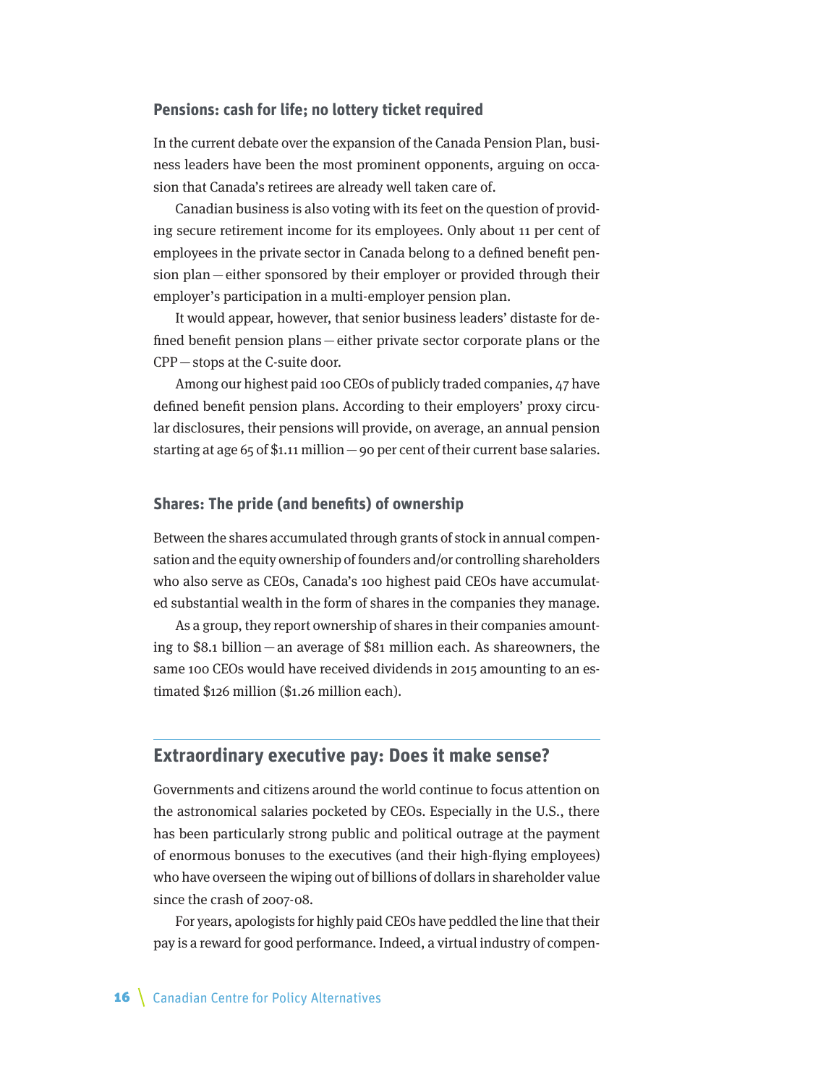#### <span id="page-15-0"></span>**Pensions: cash for life; no lottery ticket required**

In the current debate over the expansion of the Canada Pension Plan, business leaders have been the most prominent opponents, arguing on occasion that Canada's retirees are already well taken care of.

Canadian business is also voting with its feet on the question of providing secure retirement income for its employees. Only about 11 per cent of employees in the private sector in Canada belong to a defined benefit pension plan—either sponsored by their employer or provided through their employer's participation in a multi-employer pension plan.

It would appear, however, that senior business leaders' distaste for defined benefit pension plans—either private sector corporate plans or the CPP—stops at the C-suite door.

Among our highest paid 100 CEOs of publicly traded companies, 47 have defined benefit pension plans. According to their employers' proxy circular disclosures, their pensions will provide, on average, an annual pension starting at age 65 of \$1.11 million—90 per cent of their current base salaries.

#### **Shares: The pride (and benefits) of ownership**

Between the shares accumulated through grants of stock in annual compensation and the equity ownership of founders and/or controlling shareholders who also serve as CEOs, Canada's 100 highest paid CEOs have accumulated substantial wealth in the form of shares in the companies they manage.

As a group, they report ownership of shares in their companies amounting to \$8.1 billion—an average of \$81 million each. As shareowners, the same 100 CEOs would have received dividends in 2015 amounting to an estimated \$126 million (\$1.26 million each).

#### **Extraordinary executive pay: Does it make sense?**

Governments and citizens around the world continue to focus attention on the astronomical salaries pocketed by CEOs. Especially in the U.S., there has been particularly strong public and political outrage at the payment of enormous bonuses to the executives (and their high-flying employees) who have overseen the wiping out of billions of dollars in shareholder value since the crash of 2007-08.

For years, apologists for highly paid CEOs have peddled the line that their pay is a reward for good performance. Indeed, a virtual industry of compen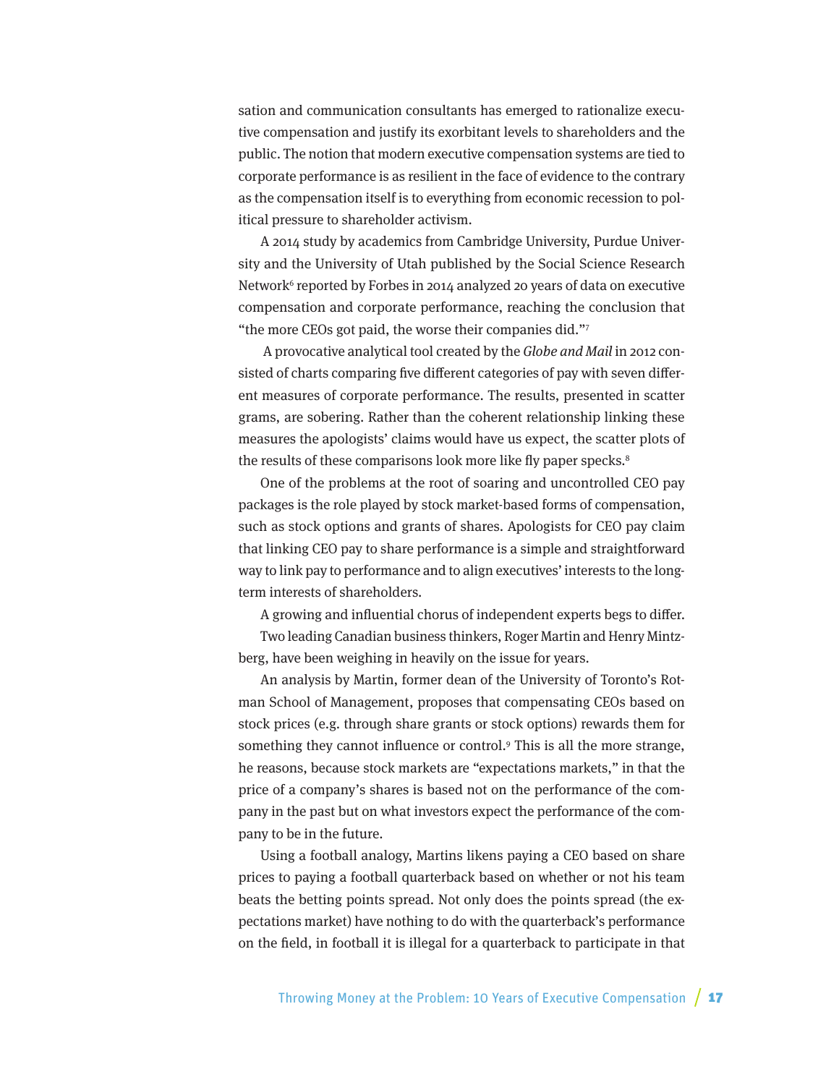sation and communication consultants has emerged to rationalize executive compensation and justify its exorbitant levels to shareholders and the public. The notion that modern executive compensation systems are tied to corporate performance is as resilient in the face of evidence to the contrary as the compensation itself is to everything from economic recession to political pressure to shareholder activism.

A 2014 study by academics from Cambridge University, Purdue University and the University of Utah published by the Social Science Research Network<sup>6</sup> reported by Forbes in 2014 analyzed 20 years of data on executive compensation and corporate performance, reaching the conclusion that "the more CEOs got paid, the worse their companies did."7

 A provocative analytical tool created by the Globe and Mail in 2012 consisted of charts comparing five different categories of pay with seven different measures of corporate performance. The results, presented in scatter grams, are sobering. Rather than the coherent relationship linking these measures the apologists' claims would have us expect, the scatter plots of the results of these comparisons look more like fly paper specks.<sup>8</sup>

One of the problems at the root of soaring and uncontrolled CEO pay packages is the role played by stock market-based forms of compensation, such as stock options and grants of shares. Apologists for CEO pay claim that linking CEO pay to share performance is a simple and straightforward way to link pay to performance and to align executives' interests to the longterm interests of shareholders.

A growing and influential chorus of independent experts begs to differ.

Two leading Canadian business thinkers, Roger Martin and Henry Mintzberg, have been weighing in heavily on the issue for years.

An analysis by Martin, former dean of the University of Toronto's Rotman School of Management, proposes that compensating CEOs based on stock prices (e.g. through share grants or stock options) rewards them for something they cannot influence or control.<sup>9</sup> This is all the more strange, he reasons, because stock markets are "expectations markets," in that the price of a company's shares is based not on the performance of the company in the past but on what investors expect the performance of the company to be in the future.

Using a football analogy, Martins likens paying a CEO based on share prices to paying a football quarterback based on whether or not his team beats the betting points spread. Not only does the points spread (the expectations market) have nothing to do with the quarterback's performance on the field, in football it is illegal for a quarterback to participate in that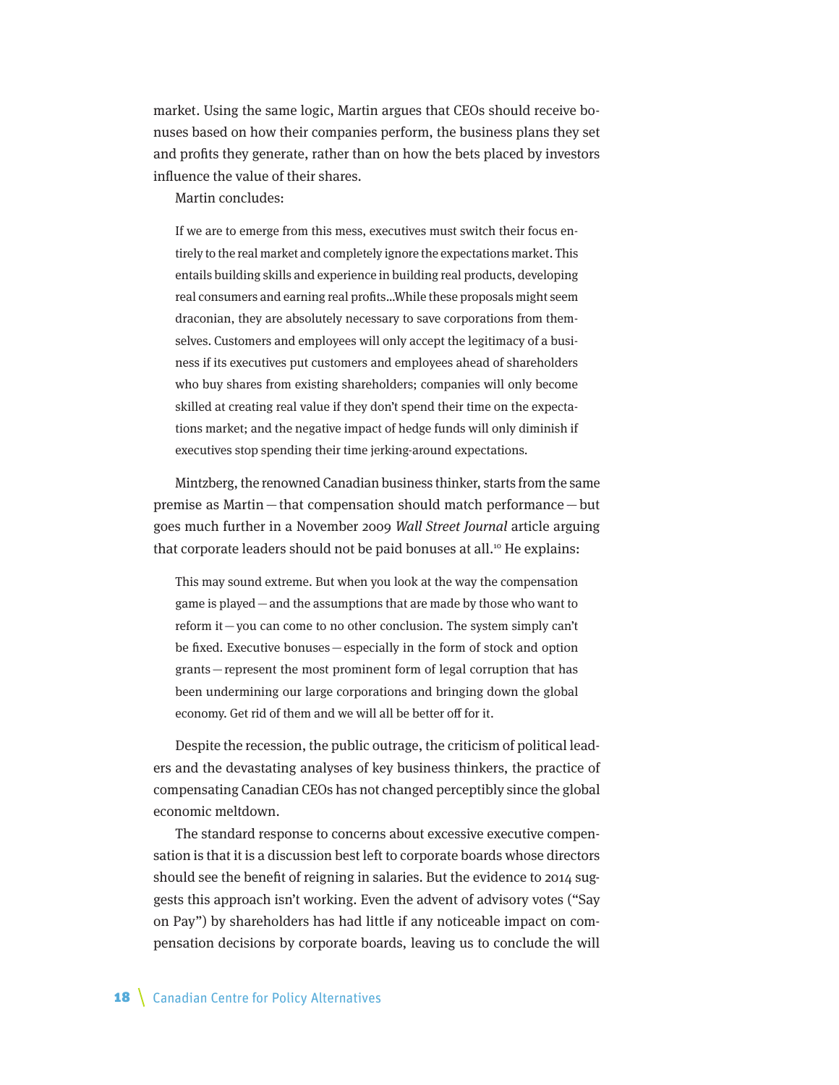market. Using the same logic, Martin argues that CEOs should receive bonuses based on how their companies perform, the business plans they set and profits they generate, rather than on how the bets placed by investors influence the value of their shares.

Martin concludes:

If we are to emerge from this mess, executives must switch their focus entirely to the real market and completely ignore the expectations market. This entails building skills and experience in building real products, developing real consumers and earning real profits…While these proposals might seem draconian, they are absolutely necessary to save corporations from themselves. Customers and employees will only accept the legitimacy of a business if its executives put customers and employees ahead of shareholders who buy shares from existing shareholders; companies will only become skilled at creating real value if they don't spend their time on the expectations market; and the negative impact of hedge funds will only diminish if executives stop spending their time jerking-around expectations.

Mintzberg, the renowned Canadian business thinker, starts from the same premise as Martin—that compensation should match performance —but goes much further in a November 2009 Wall Street Journal article arguing that corporate leaders should not be paid bonuses at all.<sup>10</sup> He explains:

This may sound extreme. But when you look at the way the compensation game is played—and the assumptions that are made by those who want to reform it—you can come to no other conclusion. The system simply can't be fixed. Executive bonuses—especially in the form of stock and option grants—represent the most prominent form of legal corruption that has been undermining our large corporations and bringing down the global economy. Get rid of them and we will all be better off for it.

Despite the recession, the public outrage, the criticism of political leaders and the devastating analyses of key business thinkers, the practice of compensating Canadian CEOs has not changed perceptibly since the global economic meltdown.

The standard response to concerns about excessive executive compensation is that it is a discussion best left to corporate boards whose directors should see the benefit of reigning in salaries. But the evidence to 2014 suggests this approach isn't working. Even the advent of advisory votes ("Say on Pay") by shareholders has had little if any noticeable impact on compensation decisions by corporate boards, leaving us to conclude the will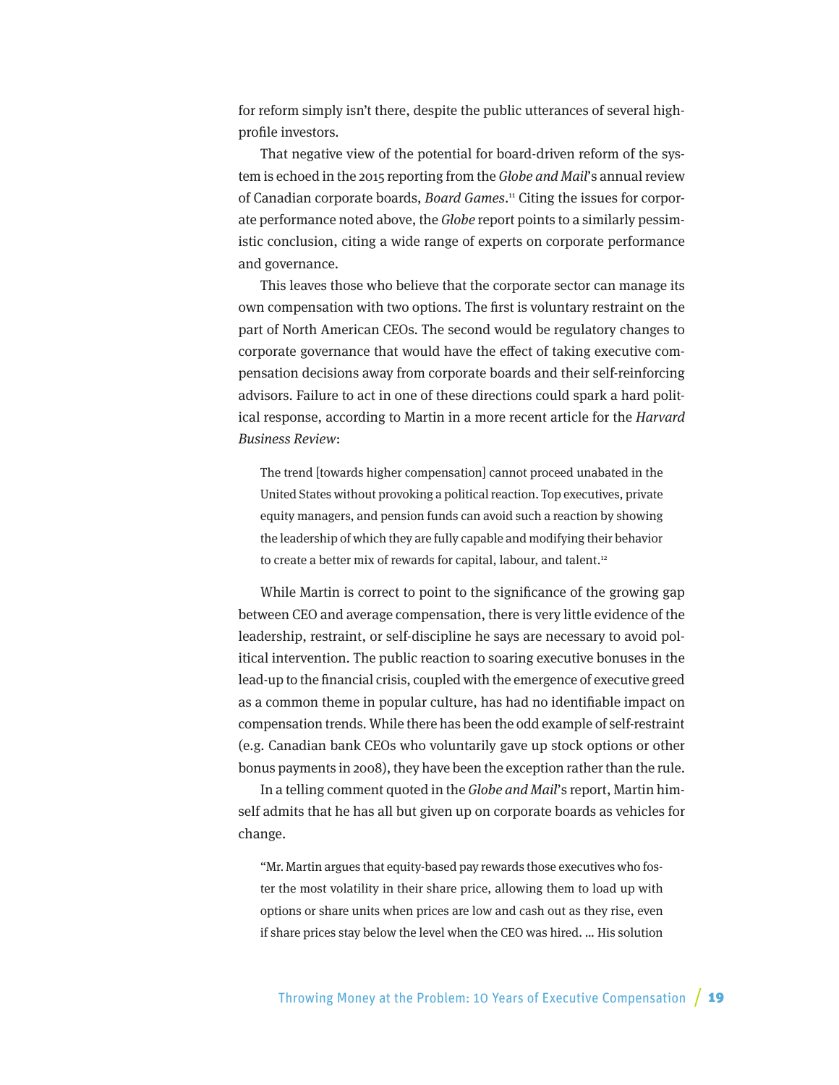for reform simply isn't there, despite the public utterances of several highprofile investors.

That negative view of the potential for board-driven reform of the system is echoed in the 2015 reporting from the Globe and Mail's annual review of Canadian corporate boards, Board Games.<sup>11</sup> Citing the issues for corporate performance noted above, the Globe report points to a similarly pessimistic conclusion, citing a wide range of experts on corporate performance and governance.

This leaves those who believe that the corporate sector can manage its own compensation with two options. The first is voluntary restraint on the part of North American CEOs. The second would be regulatory changes to corporate governance that would have the effect of taking executive compensation decisions away from corporate boards and their self-reinforcing advisors. Failure to act in one of these directions could spark a hard political response, according to Martin in a more recent article for the Harvard Business Review:

The trend [towards higher compensation] cannot proceed unabated in the United States without provoking a political reaction. Top executives, private equity managers, and pension funds can avoid such a reaction by showing the leadership of which they are fully capable and modifying their behavior to create a better mix of rewards for capital, labour, and talent.<sup>12</sup>

While Martin is correct to point to the significance of the growing gap between CEO and average compensation, there is very little evidence of the leadership, restraint, or self-discipline he says are necessary to avoid political intervention. The public reaction to soaring executive bonuses in the lead-up to the financial crisis, coupled with the emergence of executive greed as a common theme in popular culture, has had no identifiable impact on compensation trends. While there has been the odd example of self-restraint (e.g. Canadian bank CEOs who voluntarily gave up stock options or other bonus payments in 2008), they have been the exception rather than the rule.

In a telling comment quoted in the Globe and Mail's report, Martin himself admits that he has all but given up on corporate boards as vehicles for change.

"Mr. Martin argues that equity-based pay rewards those executives who foster the most volatility in their share price, allowing them to load up with options or share units when prices are low and cash out as they rise, even if share prices stay below the level when the CEO was hired. … His solution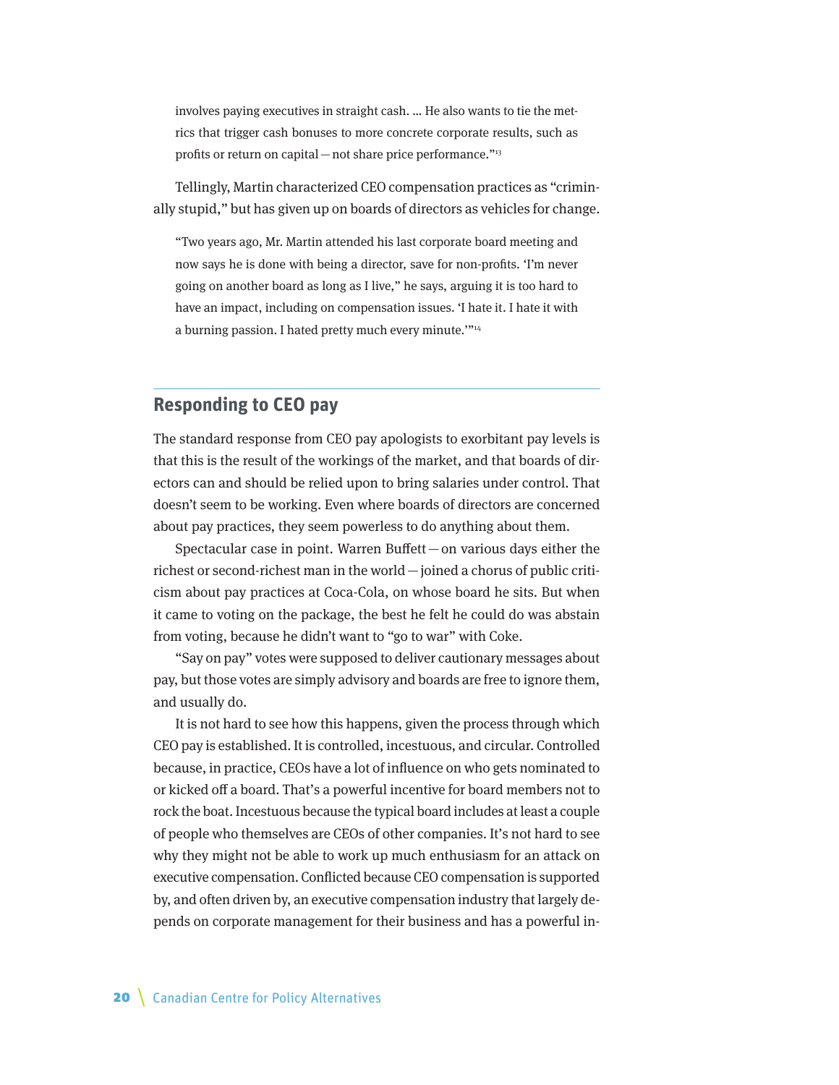<span id="page-19-0"></span>involves paying executives in straight cash. … He also wants to tie the metrics that trigger cash bonuses to more concrete corporate results, such as profits or return on capital — not share price performance."<sup>13</sup>

Tellingly, Martin characterized CEO compensation practices as "criminally stupid," but has given up on boards of directors as vehicles for change.

"Two years ago, Mr. Martin attended his last corporate board meeting and now says he is done with being a director, save for non-profits. 'I'm never going on another board as long as I live," he says, arguing it is too hard to have an impact, including on compensation issues. 'I hate it. I hate it with a burning passion. I hated pretty much every minute.""<sup>14</sup>

#### **Responding to CEO pay**

The standard response from CEO pay apologists to exorbitant pay levels is that this is the result of the workings of the market, and that boards of directors can and should be relied upon to bring salaries under control. That doesn't seem to be working. Even where boards of directors are concerned about pay practices, they seem powerless to do anything about them.

Spectacular case in point. Warren Buffett—on various days either the richest or second-richest man in the world—joined a chorus of public criticism about pay practices at Coca-Cola, on whose board he sits. But when it came to voting on the package, the best he felt he could do was abstain from voting, because he didn't want to "go to war" with Coke.

"Say on pay" votes were supposed to deliver cautionary messages about pay, but those votes are simply advisory and boards are free to ignore them, and usually do.

It is not hard to see how this happens, given the process through which CEO pay is established. It is controlled, incestuous, and circular. Controlled because, in practice, CEOs have a lot of influence on who gets nominated to or kicked off a board. That's a powerful incentive for board members not to rock the boat. Incestuous because the typical board includes at least a couple of people who themselves are CEOs of other companies. It's not hard to see why they might not be able to work up much enthusiasm for an attack on executive compensation. Conflicted because CEO compensation is supported by, and often driven by, an executive compensation industry that largely depends on corporate management for their business and has a powerful in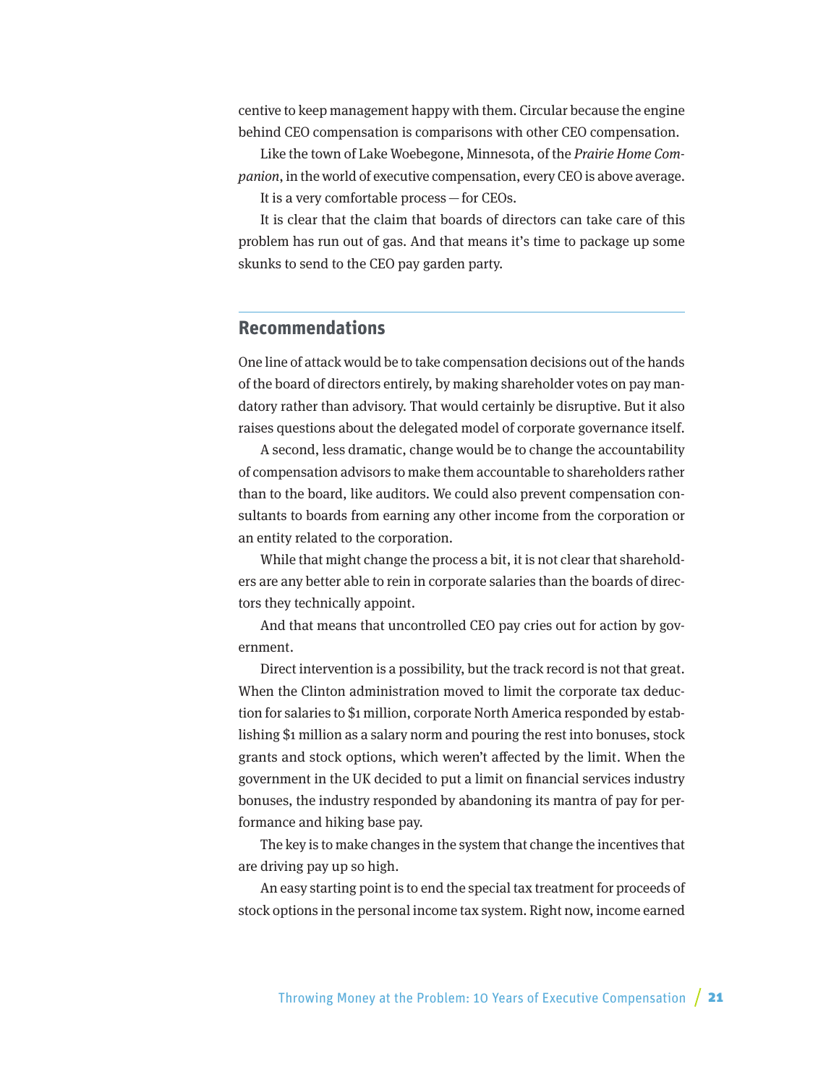<span id="page-20-0"></span>centive to keep management happy with them. Circular because the engine behind CEO compensation is comparisons with other CEO compensation.

Like the town of Lake Woebegone, Minnesota, of the Prairie Home Companion, in the world of executive compensation, every CEO is above average. It is a very comfortable process—for CEOs.

It is clear that the claim that boards of directors can take care of this problem has run out of gas. And that means it's time to package up some skunks to send to the CEO pay garden party.

#### **Recommendations**

One line of attack would be to take compensation decisions out of the hands of the board of directors entirely, by making shareholder votes on pay mandatory rather than advisory. That would certainly be disruptive. But it also raises questions about the delegated model of corporate governance itself.

A second, less dramatic, change would be to change the accountability of compensation advisors to make them accountable to shareholders rather than to the board, like auditors. We could also prevent compensation consultants to boards from earning any other income from the corporation or an entity related to the corporation.

While that might change the process a bit, it is not clear that shareholders are any better able to rein in corporate salaries than the boards of directors they technically appoint.

And that means that uncontrolled CEO pay cries out for action by government.

Direct intervention is a possibility, but the track record is not that great. When the Clinton administration moved to limit the corporate tax deduction for salaries to \$1 million, corporate North America responded by establishing \$1 million as a salary norm and pouring the rest into bonuses, stock grants and stock options, which weren't affected by the limit. When the government in the UK decided to put a limit on financial services industry bonuses, the industry responded by abandoning its mantra of pay for performance and hiking base pay.

The key is to make changes in the system that change the incentives that are driving pay up so high.

An easy starting point is to end the special tax treatment for proceeds of stock options in the personal income tax system. Right now, income earned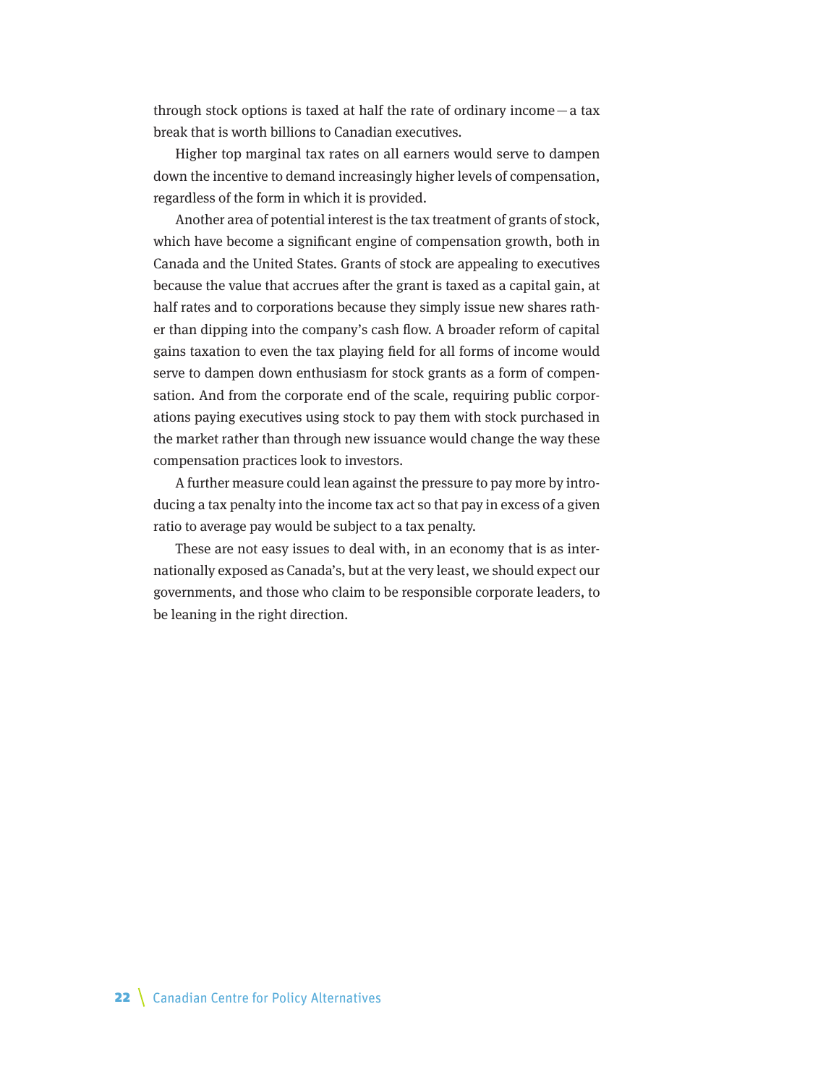through stock options is taxed at half the rate of ordinary income  $-$  a tax break that is worth billions to Canadian executives.

Higher top marginal tax rates on all earners would serve to dampen down the incentive to demand increasingly higher levels of compensation, regardless of the form in which it is provided.

Another area of potential interest is the tax treatment of grants of stock, which have become a significant engine of compensation growth, both in Canada and the United States. Grants of stock are appealing to executives because the value that accrues after the grant is taxed as a capital gain, at half rates and to corporations because they simply issue new shares rather than dipping into the company's cash flow. A broader reform of capital gains taxation to even the tax playing field for all forms of income would serve to dampen down enthusiasm for stock grants as a form of compensation. And from the corporate end of the scale, requiring public corporations paying executives using stock to pay them with stock purchased in the market rather than through new issuance would change the way these compensation practices look to investors.

A further measure could lean against the pressure to pay more by introducing a tax penalty into the income tax act so that pay in excess of a given ratio to average pay would be subject to a tax penalty.

These are not easy issues to deal with, in an economy that is as internationally exposed as Canada's, but at the very least, we should expect our governments, and those who claim to be responsible corporate leaders, to be leaning in the right direction.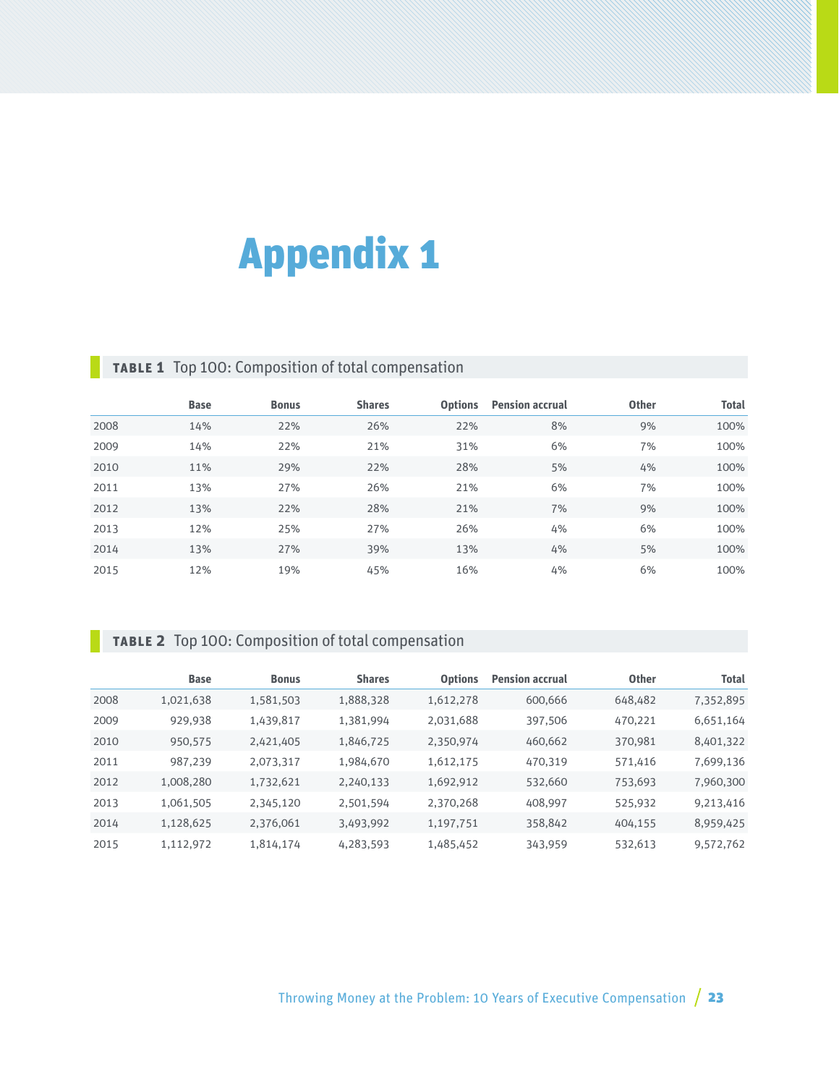# <span id="page-22-0"></span>Appendix 1

# **Table 1** Top 100: Composition of total compensation

|      | <b>Base</b> | <b>Bonus</b> | <b>Shares</b> | <b>Options</b> | <b>Pension accrual</b> | <b>Other</b> | <b>Total</b> |
|------|-------------|--------------|---------------|----------------|------------------------|--------------|--------------|
| 2008 | 14%         | 22%          | 26%           | 22%            | 8%                     | 9%           | 100%         |
| 2009 | 14%         | 22%          | 21%           | 31%            | 6%                     | 7%           | 100%         |
| 2010 | 11%         | 29%          | 22%           | 28%            | 5%                     | 4%           | 100%         |
| 2011 | 13%         | 27%          | 26%           | 21%            | 6%                     | 7%           | 100%         |
| 2012 | 13%         | 22%          | 28%           | 21%            | 7%                     | 9%           | 100%         |
| 2013 | 12%         | 25%          | 27%           | 26%            | 4%                     | 6%           | 100%         |
| 2014 | 13%         | 27%          | 39%           | 13%            | 4%                     | 5%           | 100%         |
| 2015 | 12%         | 19%          | 45%           | 16%            | 4%                     | 6%           | 100%         |

# **Table 2** Top 100: Composition of total compensation

|      | <b>Base</b> | <b>Bonus</b> | <b>Shares</b> | <b>Options</b> | <b>Pension accrual</b> | <b>Other</b> | <b>Total</b> |
|------|-------------|--------------|---------------|----------------|------------------------|--------------|--------------|
| 2008 | 1,021,638   | 1,581,503    | 1,888,328     | 1,612,278      | 600,666                | 648,482      | 7,352,895    |
| 2009 | 929,938     | 1,439,817    | 1,381,994     | 2,031,688      | 397,506                | 470,221      | 6,651,164    |
| 2010 | 950,575     | 2,421,405    | 1,846,725     | 2,350,974      | 460,662                | 370,981      | 8,401,322    |
| 2011 | 987,239     | 2,073,317    | 1,984,670     | 1,612,175      | 470,319                | 571,416      | 7,699,136    |
| 2012 | 1,008,280   | 1,732,621    | 2,240,133     | 1,692,912      | 532,660                | 753,693      | 7,960,300    |
| 2013 | 1,061,505   | 2,345,120    | 2,501,594     | 2,370,268      | 408,997                | 525,932      | 9,213,416    |
| 2014 | 1,128,625   | 2,376,061    | 3,493,992     | 1,197,751      | 358,842                | 404,155      | 8,959,425    |
| 2015 | 1,112,972   | 1,814,174    | 4,283,593     | 1,485,452      | 343,959                | 532,613      | 9,572,762    |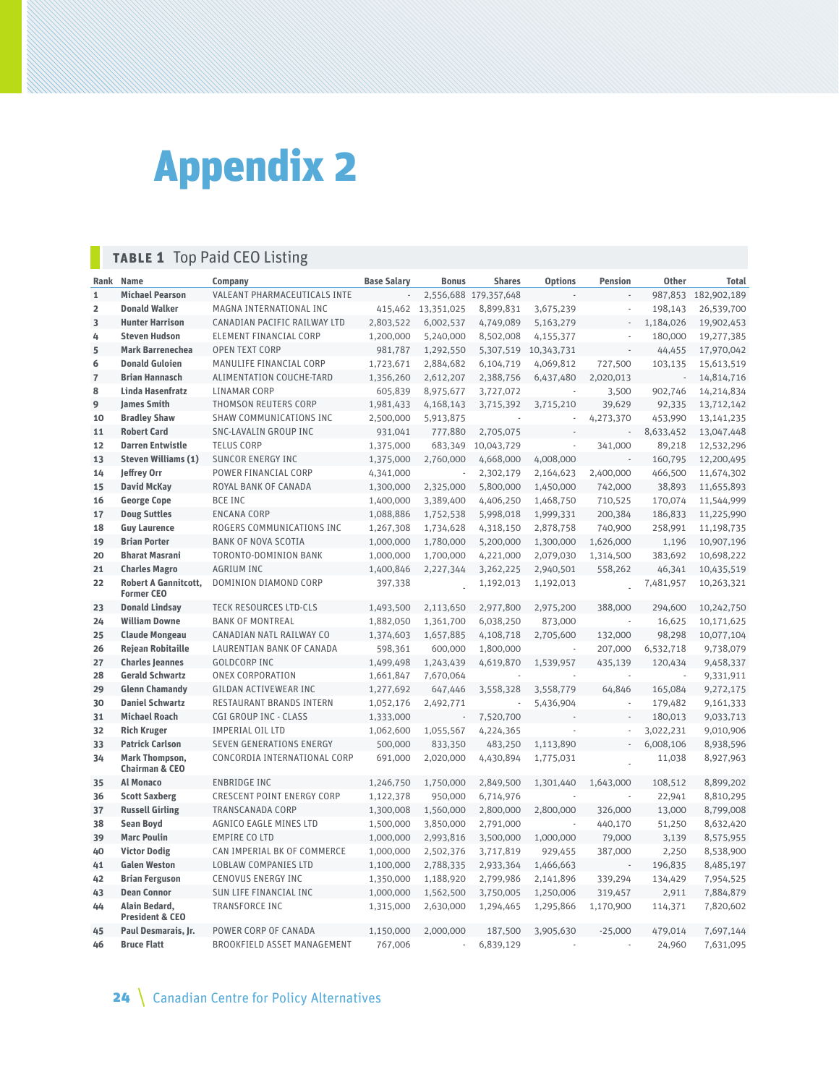<span id="page-23-0"></span>

# **Table 1** Top Paid CEO Listing

| Rank           | <b>Name</b>                                      | Company                            | <b>Base Salary</b> | <b>Bonus</b>             | <b>Shares</b>         | <b>Options</b> | <b>Pension</b>           | <b>Other</b> | <b>Total</b>        |
|----------------|--------------------------------------------------|------------------------------------|--------------------|--------------------------|-----------------------|----------------|--------------------------|--------------|---------------------|
| $\mathbf{1}$   | <b>Michael Pearson</b>                           | VALEANT PHARMACEUTICALS INTE       |                    |                          | 2,556,688 179,357,648 |                |                          |              | 987,853 182,902,189 |
| $\overline{2}$ | <b>Donald Walker</b>                             | MAGNA INTERNATIONAL INC            | 415,462            | 13,351,025               | 8,899,831             | 3,675,239      |                          | 198,143      | 26,539,700          |
| 3              | <b>Hunter Harrison</b>                           | CANADIAN PACIFIC RAILWAY LTD       | 2,803,522          | 6,002,537                | 4,749,089             | 5,163,279      | i,                       | 1,184,026    | 19,902,453          |
| 4              | <b>Steven Hudson</b>                             | <b>ELEMENT FINANCIAL CORP</b>      | 1,200,000          | 5,240,000                | 8,502,008             | 4,155,377      |                          | 180,000      | 19,277,385          |
| 5              | <b>Mark Barrenechea</b>                          | <b>OPEN TEXT CORP</b>              | 981,787            | 1,292,550                | 5,307,519             | 10,343,731     |                          | 44,455       | 17,970,042          |
| 6              | <b>Donald Guloien</b>                            | MANULIFE FINANCIAL CORP            | 1,723,671          | 2,884,682                | 6,104,719             | 4,069,812      | 727,500                  | 103,135      | 15,613,519          |
| $\overline{7}$ | <b>Brian Hannasch</b>                            | <b>ALIMENTATION COUCHE-TARD</b>    | 1,356,260          | 2,612,207                | 2,388,756             | 6,437,480      | 2,020,013                | ÷,           | 14,814,716          |
| 8              | <b>Linda Hasenfratz</b>                          | <b>LINAMAR CORP</b>                | 605,839            | 8,975,677                | 3,727,072             | ÷.             | 3,500                    | 902,746      | 14,214,834          |
| 9              | <b>James Smith</b>                               | <b>THOMSON REUTERS CORP</b>        | 1,981,433          | 4,168,143                | 3,715,392             | 3,715,210      | 39,629                   | 92,335       | 13,712,142          |
| 10             | <b>Bradley Shaw</b>                              | SHAW COMMUNICATIONS INC            | 2,500,000          | 5,913,875                |                       |                | 4,273,370                | 453,990      | 13, 141, 235        |
| 11             | <b>Robert Card</b>                               | SNC-LAVALIN GROUP INC              | 931,041            | 777,880                  | 2,705,075             |                | ÷,                       | 8,633,452    | 13,047,448          |
| 12             | <b>Darren Entwistle</b>                          | <b>TELUS CORP</b>                  | 1,375,000          | 683,349                  | 10,043,729            |                | 341,000                  | 89,218       | 12,532,296          |
| 13             | <b>Steven Williams (1)</b>                       | <b>SUNCOR ENERGY INC</b>           | 1,375,000          | 2,760,000                | 4,668,000             | 4,008,000      |                          | 160,795      | 12,200,495          |
| 14             | Jeffrey Orr                                      | POWER FINANCIAL CORP               | 4,341,000          | J.                       | 2,302,179             | 2,164,623      | 2,400,000                | 466,500      | 11,674,302          |
| 15             | <b>David McKay</b>                               | ROYAL BANK OF CANADA               | 1,300,000          | 2,325,000                | 5,800,000             | 1,450,000      | 742,000                  | 38,893       | 11,655,893          |
| 16             | <b>George Cope</b>                               | <b>BCE INC</b>                     | 1,400,000          | 3,389,400                | 4,406,250             | 1,468,750      | 710,525                  | 170,074      | 11,544,999          |
| 17             | <b>Doug Suttles</b>                              | <b>ENCANA CORP</b>                 | 1,088,886          | 1,752,538                | 5,998,018             | 1,999,331      | 200,384                  | 186,833      | 11,225,990          |
| 18             | <b>Guy Laurence</b>                              | ROGERS COMMUNICATIONS INC          | 1,267,308          | 1,734,628                | 4,318,150             | 2,878,758      | 740,900                  | 258,991      | 11,198,735          |
| 19             | <b>Brian Porter</b>                              | <b>BANK OF NOVA SCOTIA</b>         | 1,000,000          | 1,780,000                | 5,200,000             | 1,300,000      | 1,626,000                | 1,196        | 10,907,196          |
| 20             | <b>Bharat Masrani</b>                            | <b>TORONTO-DOMINION BANK</b>       | 1,000,000          | 1,700,000                | 4,221,000             | 2,079,030      | 1,314,500                | 383,692      | 10,698,222          |
| 21             | <b>Charles Magro</b>                             | <b>AGRIUM INC</b>                  | 1,400,846          | 2,227,344                | 3,262,225             | 2,940,501      | 558,262                  | 46,341       | 10,435,519          |
| 22             | <b>Robert A Gannitcott,</b><br><b>Former CEO</b> | DOMINION DIAMOND CORP              | 397,338            |                          | 1,192,013             | 1,192,013      |                          | 7,481,957    | 10,263,321          |
| 23             | <b>Donald Lindsay</b>                            | <b>TECK RESOURCES LTD-CLS</b>      | 1,493,500          | 2,113,650                | 2,977,800             | 2,975,200      | 388,000                  | 294,600      | 10,242,750          |
| 24             | <b>William Downe</b>                             | <b>BANK OF MONTREAL</b>            | 1,882,050          | 1,361,700                | 6,038,250             | 873,000        | ÷,                       | 16,625       | 10,171,625          |
| 25             | <b>Claude Mongeau</b>                            | CANADIAN NATL RAILWAY CO           | 1,374,603          | 1,657,885                | 4,108,718             | 2,705,600      | 132,000                  | 98,298       | 10,077,104          |
| 26             | <b>Rejean Robitaille</b>                         | LAURENTIAN BANK OF CANADA          | 598,361            | 600,000                  | 1,800,000             |                | 207,000                  | 6,532,718    | 9,738,079           |
| 27             | <b>Charles Jeannes</b>                           | <b>GOLDCORP INC</b>                | 1,499,498          | 1,243,439                | 4,619,870             | 1,539,957      | 435,139                  | 120.434      | 9,458,337           |
| 28             | <b>Gerald Schwartz</b>                           | <b>ONEX CORPORATION</b>            | 1,661,847          | 7,670,064                |                       |                | ÷,                       | à.           | 9,331,911           |
| 29             | <b>Glenn Chamandy</b>                            | <b>GILDAN ACTIVEWEAR INC</b>       | 1,277,692          | 647,446                  | 3,558,328             | 3,558,779      | 64,846                   | 165,084      | 9,272,175           |
| 30             | <b>Daniel Schwartz</b>                           | RESTAURANT BRANDS INTERN           | 1,052,176          | 2,492,771                |                       | 5,436,904      | ł,                       | 179,482      | 9,161,333           |
| 31             | <b>Michael Roach</b>                             | <b>CGI GROUP INC - CLASS</b>       | 1,333,000          | $\overline{\phantom{a}}$ | 7,520,700             |                |                          | 180,013      | 9,033,713           |
| 32             | <b>Rich Kruger</b>                               | <b>IMPERIAL OIL LTD</b>            | 1,062,600          | 1,055,567                | 4,224,365             |                |                          | 3,022,231    | 9,010,906           |
| 33             | <b>Patrick Carlson</b>                           | SEVEN GENERATIONS ENERGY           | 500,000            | 833,350                  | 483,250               | 1,113,890      |                          | 6,008,106    | 8,938,596           |
| 34             | Mark Thompson,<br><b>Chairman &amp; CEO</b>      | CONCORDIA INTERNATIONAL CORP       | 691,000            | 2,020,000                | 4,430,894             | 1,775,031      |                          | 11,038       | 8,927,963           |
| 35             | <b>Al Monaco</b>                                 | <b>ENBRIDGE INC</b>                | 1,246,750          | 1,750,000                | 2,849,500             | 1,301,440      | 1,643,000                | 108,512      | 8,899,202           |
| 36             | <b>Scott Saxberg</b>                             | <b>CRESCENT POINT ENERGY CORP</b>  | 1,122,378          | 950,000                  | 6,714,976             |                |                          | 22,941       | 8,810,295           |
| 37             | <b>Russell Girling</b>                           | <b>TRANSCANADA CORP</b>            | 1,300,008          | 1,560,000                | 2,800,000             | 2,800,000      | 326,000                  | 13,000       | 8,799,008           |
| 38             | <b>Sean Boyd</b>                                 | AGNICO EAGLE MINES LTD             | 1,500,000          | 3,850,000                | 2,791,000             |                | 440,170                  | 51,250       | 8,632,420           |
| 39             | <b>Marc Poulin</b>                               | <b>EMPIRE CO LTD</b>               | 1,000,000          | 2,993,816                | 3,500,000             | 1,000,000      | 79,000                   | 3,139        | 8,575,955           |
| 40             | <b>Victor Dodig</b>                              | CAN IMPERIAL BK OF COMMERCE        | 1,000,000          | 2,502,376                | 3,717,819             | 929,455        | 387,000                  | 2,250        | 8,538,900           |
| 41             | <b>Galen Weston</b>                              | <b>LOBLAW COMPANIES LTD</b>        | 1,100,000          | 2,788,335                | 2,933,364             | 1,466,663      | $\overline{\phantom{a}}$ | 196,835      | 8,485,197           |
| 42             | <b>Brian Ferguson</b>                            | <b>CENOVUS ENERGY INC</b>          | 1,350,000          | 1,188,920                | 2,799,986             | 2,141,896      | 339,294                  | 134,429      | 7,954,525           |
| 43             | <b>Dean Connor</b>                               | SUN LIFE FINANCIAL INC             | 1,000,000          | 1,562,500                | 3,750,005             | 1,250,006      | 319,457                  | 2,911        | 7,884,879           |
| 44             | Alain Bedard,<br><b>President &amp; CEO</b>      | <b>TRANSFORCE INC</b>              | 1,315,000          | 2,630,000                | 1,294,465             | 1,295,866      | 1,170,900                | 114,371      | 7,820,602           |
| 45             | Paul Desmarais, Jr.                              | POWER CORP OF CANADA               | 1,150,000          | 2,000,000                | 187,500               | 3,905,630      | $-25,000$                | 479,014      | 7,697,144           |
| 46             | <b>Bruce Flatt</b>                               | <b>BROOKFIELD ASSET MANAGEMENT</b> | 767,006            |                          | 6,839,129             |                |                          | 24,960       | 7,631,095           |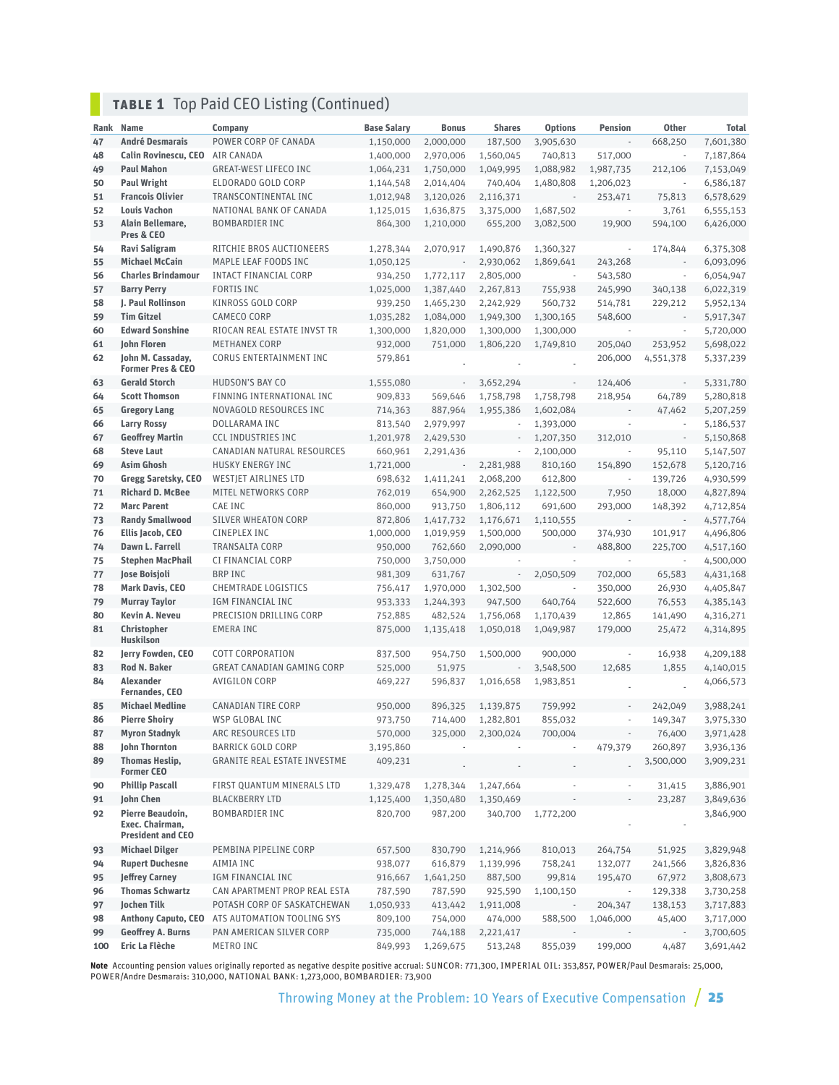# **TABLE 1** Top Paid CEO Listing (Continued)

|     |                                                                 |                                     |                    |              | <b>Shares</b>            |                          |                          |                          |              |
|-----|-----------------------------------------------------------------|-------------------------------------|--------------------|--------------|--------------------------|--------------------------|--------------------------|--------------------------|--------------|
|     | Rank Name                                                       | Company                             | <b>Base Salary</b> | <b>Bonus</b> |                          | <b>Options</b>           | <b>Pension</b>           | <b>Other</b>             | <b>Total</b> |
| 47  | <b>André Desmarais</b>                                          | POWER CORP OF CANADA                | 1,150,000          | 2,000,000    | 187,500                  | 3,905,630                |                          | 668,250                  | 7,601,380    |
| 48  | <b>Calin Rovinescu, CEO</b>                                     | AIR CANADA                          | 1,400,000          | 2,970,006    | 1,560,045                | 740,813                  | 517,000                  | $\bar{a}$                | 7,187,864    |
| 49  | <b>Paul Mahon</b>                                               | <b>GREAT-WEST LIFECO INC</b>        | 1,064,231          | 1,750,000    | 1,049,995                | 1,088,982                | 1,987,735                | 212,106                  | 7,153,049    |
| 50  | <b>Paul Wright</b>                                              | ELDORADO GOLD CORP                  | 1,144,548          | 2,014,404    | 740,404                  | 1,480,808                | 1,206,023                | $\overline{\phantom{a}}$ | 6,586,187    |
| 51  | <b>Francois Olivier</b>                                         | TRANSCONTINENTAL INC                | 1,012,948          | 3,120,026    | 2,116,371                | $\overline{\phantom{a}}$ | 253,471                  | 75,813                   | 6,578,629    |
| 52  | <b>Louis Vachon</b>                                             | NATIONAL BANK OF CANADA             | 1,125,015          | 1,636,875    | 3,375,000                | 1,687,502                | $\overline{\phantom{a}}$ | 3,761                    | 6,555,153    |
| 53  | Alain Bellemare,<br>Pres & CEO                                  | <b>BOMBARDIER INC</b>               | 864,300            | 1,210,000    | 655,200                  | 3,082,500                | 19,900                   | 594,100                  | 6,426,000    |
| 54  | Ravi Saligram                                                   | RITCHIE BROS AUCTIONEERS            | 1,278,344          | 2,070,917    | 1,490,876                | 1,360,327                | $\sim$                   | 174,844                  | 6,375,308    |
| 55  | <b>Michael McCain</b>                                           | MAPLE LEAF FOODS INC                | 1,050,125          | ÷,           | 2,930,062                | 1,869,641                | 243,268                  |                          | 6,093,096    |
| 56  | <b>Charles Brindamour</b>                                       | <b>INTACT FINANCIAL CORP</b>        | 934,250            | 1,772,117    | 2,805,000                | à,                       | 543,580                  | ÷,                       | 6,054,947    |
| 57  | <b>Barry Perry</b>                                              | <b>FORTIS INC</b>                   | 1,025,000          | 1,387,440    | 2,267,813                | 755,938                  | 245,990                  | 340,138                  | 6,022,319    |
| 58  | <b>I. Paul Rollinson</b>                                        | <b>KINROSS GOLD CORP</b>            | 939,250            | 1,465,230    | 2,242,929                | 560,732                  | 514,781                  | 229,212                  | 5,952,134    |
| 59  | <b>Tim Gitzel</b>                                               | <b>CAMECO CORP</b>                  | 1,035,282          | 1,084,000    | 1,949,300                | 1,300,165                | 548,600                  | $\overline{\phantom{a}}$ | 5,917,347    |
| 60  | <b>Edward Sonshine</b>                                          | RIOCAN REAL ESTATE INVST TR         | 1,300,000          | 1,820,000    | 1,300,000                | 1,300,000                | $\sim$                   | ÷,                       | 5,720,000    |
| 61  | John Floren                                                     | <b>METHANEX CORP</b>                | 932,000            | 751,000      | 1,806,220                | 1,749,810                | 205,040                  | 253,952                  | 5,698,022    |
| 62  | John M. Cassaday,<br><b>Former Pres &amp; CEO</b>               | CORUS ENTERTAINMENT INC             | 579,861            |              |                          |                          | 206,000                  | 4,551,378                | 5,337,239    |
| 63  | <b>Gerald Storch</b>                                            | HUDSON'S BAY CO                     | 1,555,080          | ÷,           | 3,652,294                |                          | 124,406                  | $\sim$                   | 5,331,780    |
| 64  | <b>Scott Thomson</b>                                            | FINNING INTERNATIONAL INC           | 909,833            | 569,646      | 1,758,798                | 1,758,798                | 218.954                  | 64,789                   | 5,280,818    |
| 65  | <b>Gregory Lang</b>                                             | NOVAGOLD RESOURCES INC              | 714,363            | 887,964      | 1,955,386                | 1,602,084                |                          | 47,462                   | 5,207,259    |
| 66  | <b>Larry Rossy</b>                                              | DOLLARAMA INC                       | 813,540            | 2,979,997    |                          | 1,393,000                | ×,                       | ÷,                       | 5,186,537    |
| 67  | <b>Geoffrey Martin</b>                                          | <b>CCL INDUSTRIES INC</b>           | 1,201,978          | 2,429,530    | $\overline{\phantom{a}}$ | 1,207,350                | 312,010                  | $\overline{\phantom{a}}$ | 5,150,868    |
| 68  | <b>Steve Laut</b>                                               | CANADIAN NATURAL RESOURCES          | 660,961            | 2,291,436    | $\sim$                   | 2,100,000                | ÷.                       | 95,110                   | 5,147,507    |
| 69  | <b>Asim Ghosh</b>                                               | <b>HUSKY ENERGY INC</b>             | 1,721,000          | ÷,           | 2,281,988                | 810,160                  | 154,890                  | 152,678                  | 5,120,716    |
| 70  | Gregg Saretsky, CEO                                             | <b>WESTJET AIRLINES LTD</b>         | 698,632            | 1,411,241    | 2,068,200                | 612,800                  | $\sim$                   | 139,726                  | 4,930,599    |
| 71  | <b>Richard D. McBee</b>                                         | MITEL NETWORKS CORP                 | 762,019            | 654,900      | 2,262,525                | 1,122,500                | 7,950                    | 18,000                   | 4,827,894    |
| 72  | <b>Marc Parent</b>                                              | CAE INC                             | 860,000            | 913,750      | 1,806,112                | 691,600                  | 293,000                  | 148,392                  | 4,712,854    |
| 73  | <b>Randy Smallwood</b>                                          | <b>SILVER WHEATON CORP</b>          | 872,806            | 1,417,732    | 1,176,671                | 1,110,555                |                          |                          | 4,577,764    |
| 76  | Ellis Jacob, CEO                                                | <b>CINEPLEX INC</b>                 | 1,000,000          | 1,019,959    | 1,500,000                | 500,000                  | 374,930                  | 101,917                  | 4,496,806    |
| 74  | Dawn L. Farrell                                                 | <b>TRANSALTA CORP</b>               | 950,000            | 762,660      | 2,090,000                |                          | 488,800                  | 225,700                  | 4,517,160    |
| 75  | <b>Stephen MacPhail</b>                                         | CI FINANCIAL CORP                   | 750,000            | 3,750,000    |                          | ×                        | $\mathcal{L}$            | $\sim$                   | 4,500,000    |
| 77  | Jose Boisjoli                                                   | <b>BRP INC</b>                      | 981,309            | 631,767      | $\overline{\phantom{a}}$ | 2,050,509                | 702,000                  | 65,583                   | 4,431,168    |
| 78  | <b>Mark Davis, CEO</b>                                          | CHEMTRADE LOGISTICS                 | 756,417            | 1,970,000    | 1,302,500                | à,                       | 350,000                  | 26,930                   | 4,405,847    |
| 79  | <b>Murray Taylor</b>                                            | IGM FINANCIAL INC                   | 953,333            | 1,244,393    | 947,500                  | 640,764                  | 522,600                  | 76,553                   | 4,385,143    |
| 80  | Kevin A. Neveu                                                  | PRECISION DRILLING CORP             | 752,885            | 482,524      | 1,756,068                | 1,170,439                | 12,865                   | 141,490                  | 4,316,271    |
| 81  | <b>Christopher</b>                                              | <b>EMERA INC</b>                    | 875,000            | 1,135,418    | 1,050,018                | 1,049,987                | 179,000                  | 25,472                   | 4,314,895    |
|     | <b>Huskilson</b>                                                |                                     |                    |              |                          |                          |                          |                          |              |
| 82  | Jerry Fowden, CEO                                               | <b>COTT CORPORATION</b>             | 837,500            | 954,750      | 1,500,000                | 900,000                  |                          | 16,938                   | 4,209,188    |
| 83  | Rod N. Baker                                                    | <b>GREAT CANADIAN GAMING CORP</b>   | 525,000            | 51,975       |                          | 3,548,500                | 12,685                   | 1,855                    | 4,140,015    |
| 84  | <b>Alexander</b><br><b>Fernandes, CEO</b>                       | AVIGILON CORP                       | 469,227            | 596,837      | 1,016,658                | 1,983,851                |                          |                          | 4,066,573    |
| 85  | <b>Michael Medline</b>                                          | <b>CANADIAN TIRE CORP</b>           | 950,000            | 896,325      | 1,139,875                | 759,992                  |                          | 242,049                  | 3,988,241    |
| 86  | <b>Pierre Shoiry</b>                                            | WSP GLOBAL INC                      | 973,750            | 714,400      | 1,282,801                | 855,032                  | ×,                       | 149,347                  | 3,975,330    |
| 87  | <b>Myron Stadnyk</b>                                            | ARC RESOURCES LTD                   | 570,000            | 325,000      | 2,300,024                | 700,004                  |                          | 76,400                   | 3,971,428    |
| 88  | John Thornton                                                   | <b>BARRICK GOLD CORP</b>            | 3,195,860          |              |                          |                          | 479,379                  | 260,897                  | 3,936,136    |
| 89  | <b>Thomas Heslip,</b><br><b>Former CEO</b>                      | <b>GRANITE REAL ESTATE INVESTME</b> | 409,231            |              |                          |                          |                          | 3,500,000                | 3,909,231    |
| 90  | <b>Phillip Pascall</b>                                          | FIRST QUANTUM MINERALS LTD          | 1,329,478          | 1,278,344    | 1,247,664                |                          |                          | 31,415                   | 3,886,901    |
| 91  | <b>John Chen</b>                                                | <b>BLACKBERRY LTD</b>               | 1,125,400          | 1,350,480    | 1,350,469                |                          |                          | 23,287                   | 3,849,636    |
| 92  | Pierre Beaudoin,<br>Exec. Chairman,<br><b>President and CEO</b> | <b>BOMBARDIER INC</b>               | 820,700            | 987,200      | 340,700                  | 1,772,200                |                          |                          | 3,846,900    |
| 93  | <b>Michael Dilger</b>                                           | PEMBINA PIPELINE CORP               | 657,500            | 830,790      | 1,214,966                | 810,013                  | 264,754                  | 51,925                   | 3,829,948    |
| 94  | <b>Rupert Duchesne</b>                                          | AIMIA INC                           | 938,077            | 616,879      | 1,139,996                | 758,241                  | 132,077                  | 241,566                  | 3,826,836    |
| 95  | <b>Jeffrey Carney</b>                                           | IGM FINANCIAL INC                   | 916,667            | 1,641,250    | 887,500                  | 99,814                   | 195,470                  | 67,972                   | 3,808,673    |
| 96  | <b>Thomas Schwartz</b>                                          | CAN APARTMENT PROP REAL ESTA        | 787,590            | 787,590      | 925,590                  | 1,100,150                | $\overline{\phantom{a}}$ | 129,338                  | 3,730,258    |
| 97  | Jochen Tilk                                                     | POTASH CORP OF SASKATCHEWAN         | 1,050,933          | 413,442      | 1,911,008                |                          | 204,347                  | 138,153                  | 3,717,883    |
| 98  | <b>Anthony Caputo, CEO</b>                                      | ATS AUTOMATION TOOLING SYS          | 809,100            | 754,000      | 474,000                  | 588,500                  | 1,046,000                | 45,400                   | 3,717,000    |
| 99  | <b>Geoffrey A. Burns</b>                                        | PAN AMERICAN SILVER CORP            | 735,000            | 744,188      | 2,221,417                |                          |                          |                          | 3,700,605    |
| 100 | Eric La Flèche                                                  | METRO INC                           | 849,993            | 1,269,675    | 513,248                  | 855,039                  | 199,000                  | 4,487                    | 3,691,442    |

**Note** Accounting pension values originally reported as negative despite positive accrual: SUNCOR: 771,300, IMPERIAL OIL: 353,857, POWER/Paul Desmarais: 25,000,<br>POWER/Andre Desmarais: 310,000, NATIONAL BANK: 1,273,000, BOM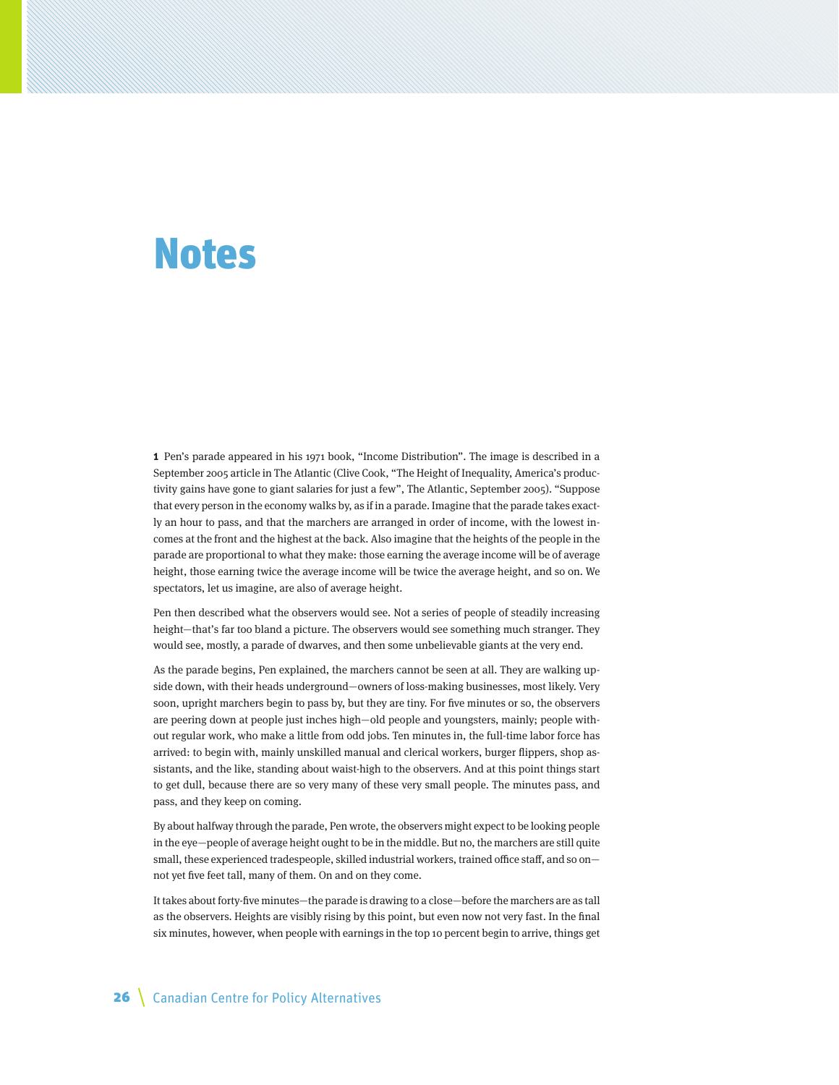# <span id="page-25-0"></span>Notes

**1** Pen's parade appeared in his 1971 book, "Income Distribution". The image is described in a September 2005 article in The Atlantic (Clive Cook, "The Height of Inequality, America's productivity gains have gone to giant salaries for just a few", The Atlantic, September 2005). "Suppose that every person in the economy walks by, as if in a parade. Imagine that the parade takes exactly an hour to pass, and that the marchers are arranged in order of income, with the lowest incomes at the front and the highest at the back. Also imagine that the heights of the people in the parade are proportional to what they make: those earning the average income will be of average height, those earning twice the average income will be twice the average height, and so on. We spectators, let us imagine, are also of average height.

Pen then described what the observers would see. Not a series of people of steadily increasing height—that's far too bland a picture. The observers would see something much stranger. They would see, mostly, a parade of dwarves, and then some unbelievable giants at the very end.

As the parade begins, Pen explained, the marchers cannot be seen at all. They are walking upside down, with their heads underground—owners of loss-making businesses, most likely. Very soon, upright marchers begin to pass by, but they are tiny. For five minutes or so, the observers are peering down at people just inches high—old people and youngsters, mainly; people without regular work, who make a little from odd jobs. Ten minutes in, the full-time labor force has arrived: to begin with, mainly unskilled manual and clerical workers, burger flippers, shop assistants, and the like, standing about waist-high to the observers. And at this point things start to get dull, because there are so very many of these very small people. The minutes pass, and pass, and they keep on coming.

By about halfway through the parade, Pen wrote, the observers might expect to be looking people in the eye—people of average height ought to be in the middle. But no, the marchers are still quite small, these experienced tradespeople, skilled industrial workers, trained office staff, and so on not yet five feet tall, many of them. On and on they come.

It takes about forty-five minutes—the parade is drawing to a close—before the marchers are as tall as the observers. Heights are visibly rising by this point, but even now not very fast. In the final six minutes, however, when people with earnings in the top 10 percent begin to arrive, things get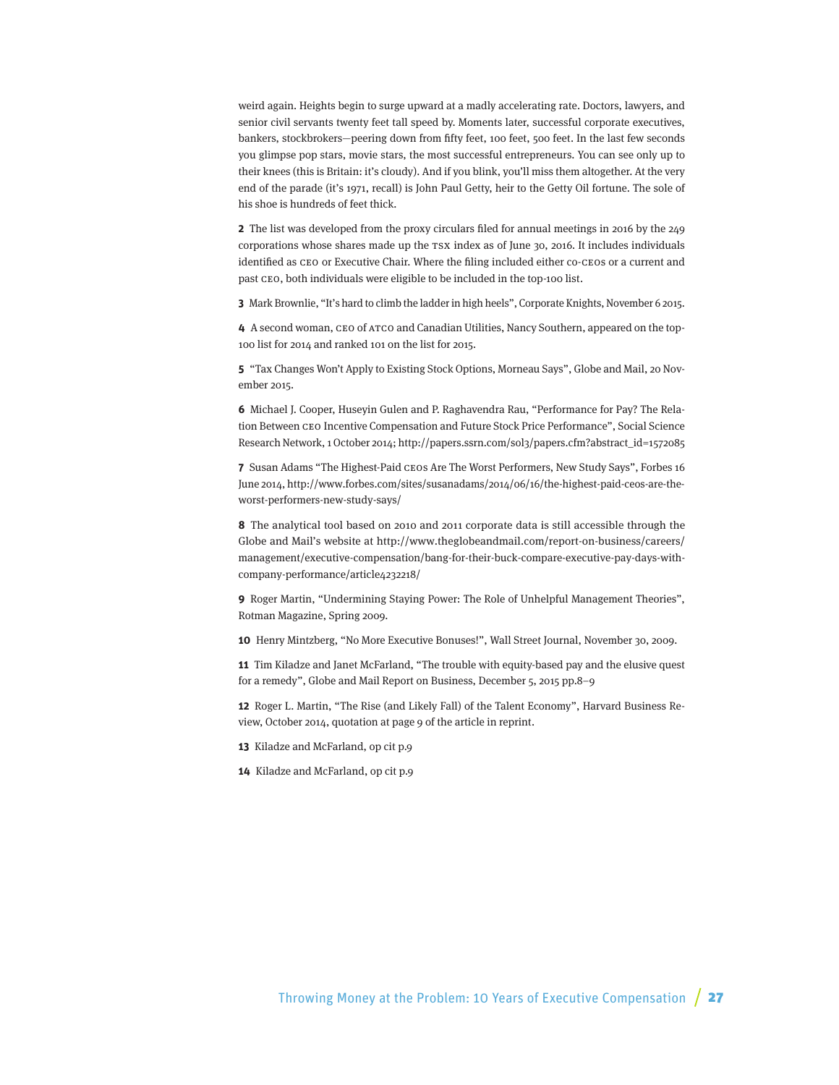weird again. Heights begin to surge upward at a madly accelerating rate. Doctors, lawyers, and senior civil servants twenty feet tall speed by. Moments later, successful corporate executives, bankers, stockbrokers—peering down from fifty feet, 100 feet, 500 feet. In the last few seconds you glimpse pop stars, movie stars, the most successful entrepreneurs. You can see only up to their knees (this is Britain: it's cloudy). And if you blink, you'll miss them altogether. At the very end of the parade (it's 1971, recall) is John Paul Getty, heir to the Getty Oil fortune. The sole of his shoe is hundreds of feet thick.

**2** The list was developed from the proxy circulars filed for annual meetings in 2016 by the 249 corporations whose shares made up the TSX index as of June 30, 2016. It includes individuals identified as CEO or Executive Chair. Where the filing included either co-CEOs or a current and past CEO, both individuals were eligible to be included in the top-100 list.

**3** Mark Brownlie, "It's hard to climb the ladder in high heels", Corporate Knights, November 6 2015.

**4** A second woman, CEO of ATCO and Canadian Utilities, Nancy Southern, appeared on the top-100 list for 2014 and ranked 101 on the list for 2015.

**5** "Tax Changes Won't Apply to Existing Stock Options, Morneau Says", Globe and Mail, 20 November 2015.

**6** Michael J. Cooper, Huseyin Gulen and P. Raghavendra Rau, "Performance for Pay? The Relation Between CEO Incentive Compensation and Future Stock Price Performance", Social Science Research Network, 1 October 2014; http://papers.ssrn.com/sol3/papers.cfm?abstract\_id=1572085

**7** Susan Adams "The Highest-Paid CEOs Are The Worst Performers, New Study Says", Forbes 16 June 2014, http://www.forbes.com/sites/susanadams/2014/06/16/the-highest-paid-ceos-are-theworst-performers-new-study-says/

**8** The analytical tool based on 2010 and 2011 corporate data is still accessible through the Globe and Mail's website at http://www.theglobeandmail.com/report-on-business/careers/ management/executive-compensation/bang-for-their-buck-compare-executive-pay-days-withcompany-performance/article4232218/

**9** Roger Martin, "Undermining Staying Power: The Role of Unhelpful Management Theories", Rotman Magazine, Spring 2009.

**10** Henry Mintzberg, "No More Executive Bonuses!", Wall Street Journal, November 30, 2009.

**11** Tim Kiladze and Janet McFarland, "The trouble with equity-based pay and the elusive quest for a remedy", Globe and Mail Report on Business, December 5, 2015 pp.8–9

**12** Roger L. Martin, "The Rise (and Likely Fall) of the Talent Economy", Harvard Business Review, October 2014, quotation at page 9 of the article in reprint.

**13** Kiladze and McFarland, op cit p.9

**14** Kiladze and McFarland, op cit p.9